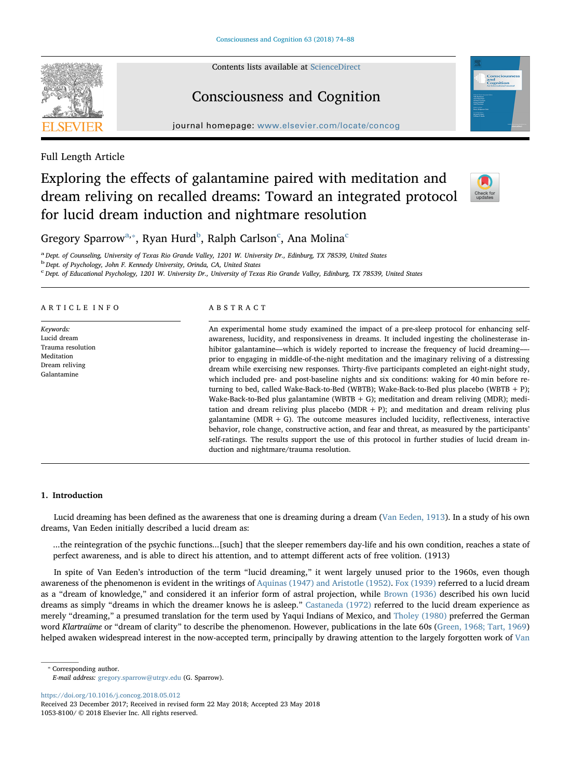Contents lists available at [ScienceDirect](http://www.sciencedirect.com/science/journal/10538100)

# Consciousness and Cognition

journal homepage: [www.elsevier.com/locate/concog](https://www.elsevier.com/locate/concog)

Full Length Article

# Exploring the effects of galantamine paired with meditation and dream reliving on recalled dreams: Toward an integrated protocol for lucid dream induction and nightmare resolution



Gregory Sp[a](#page-0-0)rrow $a_{\cdot\text{a}}$  $a_{\cdot\text{a}}$  $a_{\cdot\text{a}}$ , Ryan Hurd $^{\text{b}}$  $^{\text{b}}$  $^{\text{b}}$ , Ralph Carlson $^{\text{c}}$ , Ana Molina $^{\text{c}}$ 

<span id="page-0-0"></span>a Dept. of Counseling, University of Texas Rio Grande Valley, 1201 W. University Dr., Edinburg, TX 78539, United States <sup>b</sup> Dept. of Psychology, John F. Kennedy University, Orinda, CA, United States

<span id="page-0-3"></span><span id="page-0-2"></span>

<sup>c</sup> Dept. of Educational Psychology, 1201 W. University Dr., University of Texas Rio Grande Valley, Edinburg, TX 78539, United States

## ARTICLE INFO

Keywords: Lucid dream Trauma resolution Meditation Dream reliving Galantamine

## ABSTRACT

An experimental home study examined the impact of a pre-sleep protocol for enhancing selfawareness, lucidity, and responsiveness in dreams. It included ingesting the cholinesterase inhibitor galantamine—which is widely reported to increase the frequency of lucid dreaming—prior to engaging in middle-of-the-night meditation and the imaginary reliving of a distressing dream while exercising new responses. Thirty-five participants completed an eight-night study, which included pre- and post-baseline nights and six conditions: waking for 40 min before returning to bed, called Wake-Back-to-Bed (WBTB); Wake-Back-to-Bed plus placebo (WBTB + P); Wake-Back-to-Bed plus galantamine (WBTB  $+ G$ ); meditation and dream reliving (MDR); meditation and dream reliving plus placebo ( $MDR + P$ ); and meditation and dream reliving plus galantamine (MDR  $+$  G). The outcome measures included lucidity, reflectiveness, interactive behavior, role change, constructive action, and fear and threat, as measured by the participants' self-ratings. The results support the use of this protocol in further studies of lucid dream induction and nightmare/trauma resolution.

# 1. Introduction

Lucid dreaming has been defined as the awareness that one is dreaming during a dream ([Van Eeden, 1913\)](#page-14-0). In a study of his own dreams, Van Eeden initially described a lucid dream as:

...the reintegration of the psychic functions...[such] that the sleeper remembers day-life and his own condition, reaches a state of perfect awareness, and is able to direct his attention, and to attempt different acts of free volition. (1913)

In spite of Van Eeden's introduction of the term "lucid dreaming," it went largely unused prior to the 1960s, even though awareness of the phenomenon is evident in the writings of [Aquinas \(1947\) and Aristotle \(1952\).](#page-12-0) [Fox \(1939\)](#page-12-1) referred to a lucid dream as a "dream of knowledge," and considered it an inferior form of astral projection, while [Brown \(1936\)](#page-12-2) described his own lucid dreams as simply "dreams in which the dreamer knows he is asleep." [Castaneda \(1972\)](#page-12-3) referred to the lucid dream experience as merely "dreaming," a presumed translation for the term used by Yaqui Indians of Mexico, and [Tholey \(1980\)](#page-13-0) preferred the German word Klartraüme or "dream of clarity" to describe the phenomenon. However, publications in the late 60s [\(Green, 1968; Tart, 1969](#page-13-1)) helped awaken widespread interest in the now-accepted term, principally by drawing attention to the largely forgotten work of [Van](#page-14-0)

<span id="page-0-1"></span>⁎ Corresponding author. E-mail address: [gregory.sparrow@utrgv.edu](mailto:gregory.sparrow@utrgv.edu) (G. Sparrow).

<https://doi.org/10.1016/j.concog.2018.05.012>

Received 23 December 2017; Received in revised form 22 May 2018; Accepted 23 May 2018 1053-8100/ © 2018 Elsevier Inc. All rights reserved.

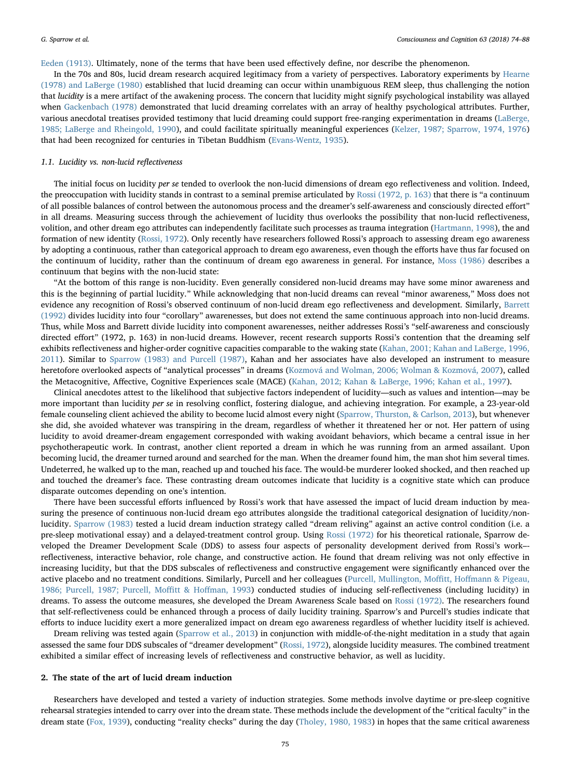[Eeden \(1913\)](#page-14-0). Ultimately, none of the terms that have been used effectively define, nor describe the phenomenon.

In the 70s and 80s, lucid dream research acquired legitimacy from a variety of perspectives. Laboratory experiments by [Hearne](#page-13-2) [\(1978\) and LaBerge \(1980\)](#page-13-2) established that lucid dreaming can occur within unambiguous REM sleep, thus challenging the notion that lucidity is a mere artifact of the awakening process. The concern that lucidity might signify psychological instability was allayed when [Gackenbach \(1978\)](#page-12-4) demonstrated that lucid dreaming correlates with an array of healthy psychological attributes. Further, various anecdotal treatises provided testimony that lucid dreaming could support free-ranging experimentation in dreams ([LaBerge,](#page-13-3) [1985; LaBerge and Rheingold, 1990](#page-13-3)), and could facilitate spiritually meaningful experiences [\(Kelzer, 1987; Sparrow, 1974, 1976](#page-13-4)) that had been recognized for centuries in Tibetan Buddhism [\(Evans-Wentz, 1935](#page-12-5)).

## 1.1. Lucidity vs. non-lucid reflectiveness

The initial focus on lucidity per se tended to overlook the non-lucid dimensions of dream ego reflectiveness and volition. Indeed, the preoccupation with lucidity stands in contrast to a seminal premise articulated by [Rossi \(1972, p. 163\)](#page-13-5) that there is "a continuum of all possible balances of control between the autonomous process and the dreamer's self-awareness and consciously directed effort" in all dreams. Measuring success through the achievement of lucidity thus overlooks the possibility that non-lucid reflectiveness, volition, and other dream ego attributes can independently facilitate such processes as trauma integration ([Hartmann, 1998\)](#page-13-6), the and formation of new identity ([Rossi, 1972](#page-13-5)). Only recently have researchers followed Rossi's approach to assessing dream ego awareness by adopting a continuous, rather than categorical approach to dream ego awareness, even though the efforts have thus far focused on the continuum of lucidity, rather than the continuum of dream ego awareness in general. For instance, [Moss \(1986\)](#page-13-7) describes a continuum that begins with the non-lucid state:

"At the bottom of this range is non-lucidity. Even generally considered non-lucid dreams may have some minor awareness and this is the beginning of partial lucidity." While acknowledging that non-lucid dreams can reveal "minor awareness," Moss does not evidence any recognition of Rossi's observed continuum of non-lucid dream ego reflectiveness and development. Similarly, [Barrett](#page-12-6) [\(1992\)](#page-12-6) divides lucidity into four "corollary" awarenesses, but does not extend the same continuous approach into non-lucid dreams. Thus, while Moss and Barrett divide lucidity into component awarenesses, neither addresses Rossi's "self-awareness and consciously directed effort" (1972, p. 163) in non-lucid dreams. However, recent research supports Rossi's contention that the dreaming self exhibits reflectiveness and higher-order cognitive capacities comparable to the waking state ([Kahan, 2001; Kahan and LaBerge, 1996,](#page-13-8) [2011\)](#page-13-8). Similar to [Sparrow \(1983\) and Purcell \(1987\)](#page-13-9), Kahan and her associates have also developed an instrument to measure heretofore overlooked aspects of "analytical processes" in dreams [\(Kozmová and Wolman, 2006; Wolman & Kozmová, 2007\)](#page-13-10), called the Metacognitive, Affective, Cognitive Experiences scale (MACE) [\(Kahan, 2012; Kahan & LaBerge, 1996; Kahan et al., 1997](#page-13-11)).

Clinical anecdotes attest to the likelihood that subjective factors independent of lucidity—such as values and intention––may be more important than lucidity per se in resolving conflict, fostering dialogue, and achieving integration. For example, a 23-year-old female counseling client achieved the ability to become lucid almost every night [\(Sparrow, Thurston, & Carlson, 2013](#page-13-12)), but whenever she did, she avoided whatever was transpiring in the dream, regardless of whether it threatened her or not. Her pattern of using lucidity to avoid dreamer-dream engagement corresponded with waking avoidant behaviors, which became a central issue in her psychotherapeutic work. In contrast, another client reported a dream in which he was running from an armed assailant. Upon becoming lucid, the dreamer turned around and searched for the man. When the dreamer found him, the man shot him several times. Undeterred, he walked up to the man, reached up and touched his face. The would-be murderer looked shocked, and then reached up and touched the dreamer's face. These contrasting dream outcomes indicate that lucidity is a cognitive state which can produce disparate outcomes depending on one's intention.

There have been successful efforts influenced by Rossi's work that have assessed the impact of lucid dream induction by measuring the presence of continuous non-lucid dream ego attributes alongside the traditional categorical designation of lucidity/nonlucidity. [Sparrow \(1983\)](#page-13-9) tested a lucid dream induction strategy called "dream reliving" against an active control condition (i.e. a pre-sleep motivational essay) and a delayed-treatment control group. Using [Rossi \(1972\)](#page-13-5) for his theoretical rationale, Sparrow developed the Dreamer Development Scale (DDS) to assess four aspects of personality development derived from Rossi's work– reflectiveness, interactive behavior, role change, and constructive action. He found that dream reliving was not only effective in increasing lucidity, but that the DDS subscales of reflectiveness and constructive engagement were significantly enhanced over the active placebo and no treatment conditions. Similarly, Purcell and her colleagues ([Purcell, Mullington, Mo](#page-13-13)ffitt, Hoffmann & Pigeau, [1986; Purcell, 1987; Purcell, Mo](#page-13-13)ffitt & Hoffman, 1993) conducted studies of inducing self-reflectiveness (including lucidity) in dreams. To assess the outcome measures, she developed the Dream Awareness Scale based on [Rossi \(1972\).](#page-13-5) The researchers found that self-reflectiveness could be enhanced through a process of daily lucidity training. Sparrow's and Purcell's studies indicate that efforts to induce lucidity exert a more generalized impact on dream ego awareness regardless of whether lucidity itself is achieved.

Dream reliving was tested again ([Sparrow et al., 2013\)](#page-13-12) in conjunction with middle-of-the-night meditation in a study that again assessed the same four DDS subscales of "dreamer development" ([Rossi, 1972](#page-13-5)), alongside lucidity measures. The combined treatment exhibited a similar effect of increasing levels of reflectiveness and constructive behavior, as well as lucidity.

#### 2. The state of the art of lucid dream induction

Researchers have developed and tested a variety of induction strategies. Some methods involve daytime or pre-sleep cognitive rehearsal strategies intended to carry over into the dream state. These methods include the development of the "critical faculty" in the dream state ([Fox, 1939\)](#page-12-1), conducting "reality checks" during the day [\(Tholey, 1980, 1983\)](#page-13-0) in hopes that the same critical awareness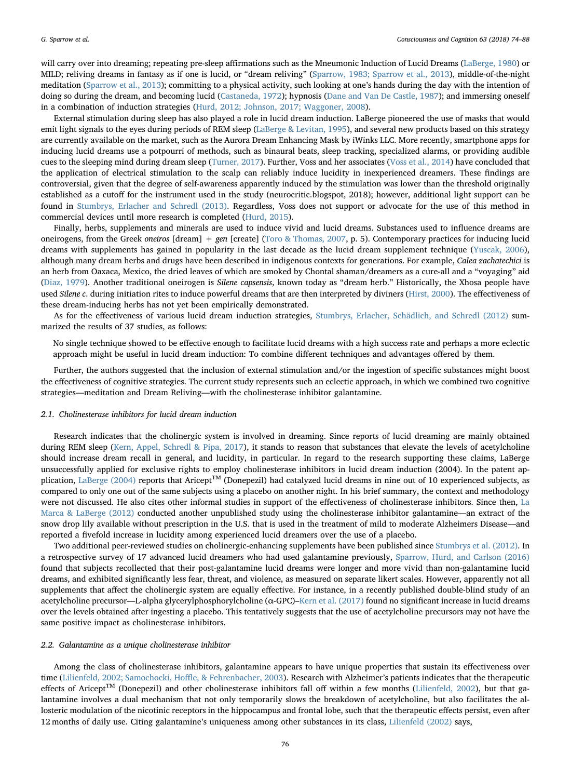will carry over into dreaming; repeating pre-sleep affirmations such as the Mneumonic Induction of Lucid Dreams [\(LaBerge, 1980\)](#page-13-14) or MILD; reliving dreams in fantasy as if one is lucid, or "dream reliving" [\(Sparrow, 1983; Sparrow et al., 2013\)](#page-13-9), middle-of-the-night meditation [\(Sparrow et al., 2013\)](#page-13-12); committing to a physical activity, such looking at one's hands during the day with the intention of doing so during the dream, and becoming lucid [\(Castaneda, 1972\)](#page-12-3); hypnosis ([Dane and Van De Castle, 1987](#page-12-7)); and immersing oneself in a combination of induction strategies [\(Hurd, 2012; Johnson, 2017; Waggoner, 2008](#page-13-15)).

External stimulation during sleep has also played a role in lucid dream induction. LaBerge pioneered the use of masks that would emit light signals to the eyes during periods of REM sleep ([LaBerge & Levitan, 1995\)](#page-13-16), and several new products based on this strategy are currently available on the market, such as the Aurora Dream Enhancing Mask by iWinks LLC. More recently, smartphone apps for inducing lucid dreams use a potpourri of methods, such as binaural beats, sleep tracking, specialized alarms, or providing audible cues to the sleeping mind during dream sleep ([Turner, 2017](#page-14-1)). Further, Voss and her associates [\(Voss et al., 2014](#page-14-2)) have concluded that the application of electrical stimulation to the scalp can reliably induce lucidity in inexperienced dreamers. These findings are controversial, given that the degree of self-awareness apparently induced by the stimulation was lower than the threshold originally established as a cutoff for the instrument used in the study (neurocritic.blogspot, 2018); however, additional light support can be found in [Stumbrys, Erlacher and Schredl \(2013\).](#page-13-17) Regardless, Voss does not support or advocate for the use of this method in commercial devices until more research is completed [\(Hurd, 2015\)](#page-13-18).

Finally, herbs, supplements and minerals are used to induce vivid and lucid dreams. Substances used to influence dreams are oneirogens, from the Greek oneiros  $\text{[dream]} + \text{gen} \text{[create]}$  ([Toro & Thomas, 2007,](#page-13-19) p. 5). Contemporary practices for inducing lucid dreams with supplements has gained in popularity in the last decade as the lucid dream supplement technique ([Yuscak, 2006\)](#page-14-3), although many dream herbs and drugs have been described in indigenous contexts for generations. For example, Calea zachatechici is an herb from Oaxaca, Mexico, the dried leaves of which are smoked by Chontal shaman/dreamers as a cure-all and a "voyaging" aid ([Diaz, 1979\)](#page-12-8). Another traditional oneirogen is Silene capsensis, known today as "dream herb." Historically, the Xhosa people have used Silene c. during initiation rites to induce powerful dreams that are then interpreted by diviners ([Hirst, 2000](#page-13-20)). The effectiveness of these dream-inducing herbs has not yet been empirically demonstrated.

As for the effectiveness of various lucid dream induction strategies, [Stumbrys, Erlacher, Schädlich, and Schredl \(2012\)](#page-13-21) summarized the results of 37 studies, as follows:

No single technique showed to be effective enough to facilitate lucid dreams with a high success rate and perhaps a more eclectic approach might be useful in lucid dream induction: To combine different techniques and advantages offered by them.

Further, the authors suggested that the inclusion of external stimulation and/or the ingestion of specific substances might boost the effectiveness of cognitive strategies. The current study represents such an eclectic approach, in which we combined two cognitive strategies—meditation and Dream Reliving—with the cholinesterase inhibitor galantamine.

#### 2.1. Cholinesterase inhibitors for lucid dream induction

Research indicates that the cholinergic system is involved in dreaming. Since reports of lucid dreaming are mainly obtained during REM sleep ([Kern, Appel, Schredl & Pipa, 2017](#page-13-22)), it stands to reason that substances that elevate the levels of acetylcholine should increase dream recall in general, and lucidity, in particular. In regard to the research supporting these claims, LaBerge unsuccessfully applied for exclusive rights to employ cholinesterase inhibitors in lucid dream induction (2004). In the patent ap-plication, [LaBerge \(2004\)](#page-13-23) reports that Aricept<sup>TM</sup> (Donepezil) had catalyzed lucid dreams in nine out of 10 experienced subjects, as compared to only one out of the same subjects using a placebo on another night. In his brief summary, the context and methodology were not discussed. He also cites other informal studies in support of the effectiveness of cholinesterase inhibitors. Since then, [La](#page-13-24) [Marca & LaBerge \(2012\)](#page-13-24) conducted another unpublished study using the cholinesterase inhibitor galantamine––an extract of the snow drop lily available without prescription in the U.S. that is used in the treatment of mild to moderate Alzheimers Disease––and reported a fivefold increase in lucidity among experienced lucid dreamers over the use of a placebo.

Two additional peer-reviewed studies on cholinergic-enhancing supplements have been published since [Stumbrys et al. \(2012\).](#page-13-21) In a retrospective survey of 17 advanced lucid dreamers who had used galantamine previously, [Sparrow, Hurd, and Carlson \(2016\)](#page-13-25) found that subjects recollected that their post-galantamine lucid dreams were longer and more vivid than non-galantamine lucid dreams, and exhibited significantly less fear, threat, and violence, as measured on separate likert scales. However, apparently not all supplements that affect the cholinergic system are equally effective. For instance, in a recently published double-blind study of an acetylcholine precursor––L-alpha glycerylphosphorylcholine (α-GPC)–[Kern et al. \(2017\)](#page-13-22) found no significant increase in lucid dreams over the levels obtained after ingesting a placebo. This tentatively suggests that the use of acetylcholine precursors may not have the same positive impact as cholinesterase inhibitors.

#### 2.2. Galantamine as a unique cholinesterase inhibitor

Among the class of cholinesterase inhibitors, galantamine appears to have unique properties that sustain its effectiveness over time ([Lilienfeld, 2002; Samochocki, Ho](#page-13-26)ffle, & Fehrenbacher, 2003). Research with Alzheimer's patients indicates that the therapeutic effects of Aricept<sup>TM</sup> (Donepezil) and other cholinesterase inhibitors fall off within a few months ([Lilienfeld, 2002](#page-13-26)), but that galantamine involves a dual mechanism that not only temporarily slows the breakdown of acetylcholine, but also facilitates the allosteric modulation of the nicotinic receptors in the hippocampus and frontal lobe, such that the therapeutic effects persist, even after 12 months of daily use. Citing galantamine's uniqueness among other substances in its class, [Lilienfeld \(2002\)](#page-13-26) says,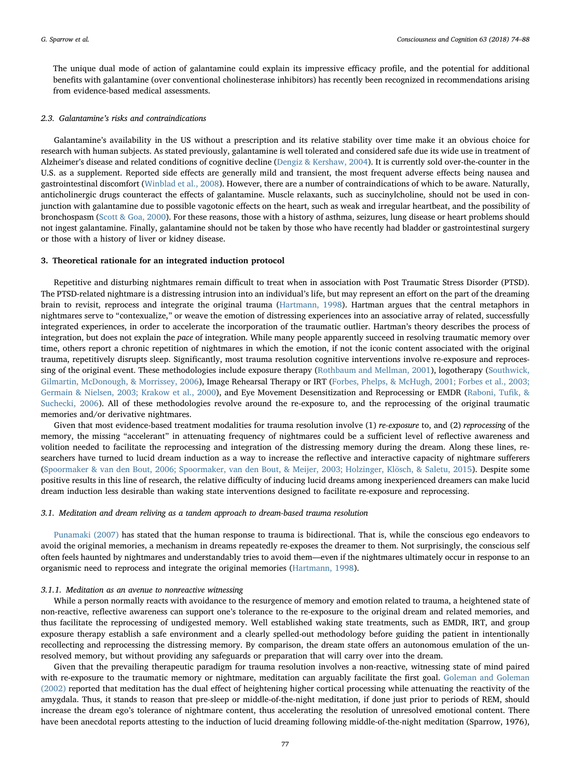The unique dual mode of action of galantamine could explain its impressive efficacy profile, and the potential for additional benefits with galantamine (over conventional cholinesterase inhibitors) has recently been recognized in recommendations arising from evidence-based medical assessments.

## 2.3. Galantamine's risks and contraindications

Galantamine's availability in the US without a prescription and its relative stability over time make it an obvious choice for research with human subjects. As stated previously, galantamine is well tolerated and considered safe due its wide use in treatment of Alzheimer's disease and related conditions of cognitive decline [\(Dengiz & Kershaw, 2004\)](#page-12-9). It is currently sold over-the-counter in the U.S. as a supplement. Reported side effects are generally mild and transient, the most frequent adverse effects being nausea and gastrointestinal discomfort ([Winblad et al., 2008\)](#page-14-4). However, there are a number of contraindications of which to be aware. Naturally, anticholinergic drugs counteract the effects of galantamine. Muscle relaxants, such as succinylcholine, should not be used in conjunction with galantamine due to possible vagotonic effects on the heart, such as weak and irregular heartbeat, and the possibility of bronchospasm ([Scott & Goa, 2000](#page-13-27)). For these reasons, those with a history of asthma, seizures, lung disease or heart problems should not ingest galantamine. Finally, galantamine should not be taken by those who have recently had bladder or gastrointestinal surgery or those with a history of liver or kidney disease.

## 3. Theoretical rationale for an integrated induction protocol

Repetitive and disturbing nightmares remain difficult to treat when in association with Post Traumatic Stress Disorder (PTSD). The PTSD-related nightmare is a distressing intrusion into an individual's life, but may represent an effort on the part of the dreaming brain to revisit, reprocess and integrate the original trauma ([Hartmann, 1998](#page-13-6)). Hartman argues that the central metaphors in nightmares serve to "contexualize," or weave the emotion of distressing experiences into an associative array of related, successfully integrated experiences, in order to accelerate the incorporation of the traumatic outlier. Hartman's theory describes the process of integration, but does not explain the pace of integration. While many people apparently succeed in resolving traumatic memory over time, others report a chronic repetition of nightmares in which the emotion, if not the iconic content associated with the original trauma, repetitively disrupts sleep. Significantly, most trauma resolution cognitive interventions involve re-exposure and reprocessing of the original event. These methodologies include exposure therapy [\(Rothbaum and Mellman, 2001\)](#page-13-28), logotherapy [\(Southwick,](#page-13-29) [Gilmartin, McDonough, & Morrissey, 2006\)](#page-13-29), Image Rehearsal Therapy or IRT ([Forbes, Phelps, & McHugh, 2001; Forbes et al., 2003;](#page-12-10) [Germain & Nielsen, 2003; Krakow et al., 2000](#page-12-10)), and Eye Movement Desensitization and Reprocessing or EMDR ([Raboni, Tu](#page-13-30)fik, & [Suchecki, 2006](#page-13-30)). All of these methodologies revolve around the re-exposure to, and the reprocessing of the original traumatic memories and/or derivative nightmares.

Given that most evidence-based treatment modalities for trauma resolution involve (1) re-exposure to, and (2) reprocessing of the memory, the missing "accelerant" in attenuating frequency of nightmares could be a sufficient level of reflective awareness and volition needed to facilitate the reprocessing and integration of the distressing memory during the dream. Along these lines, researchers have turned to lucid dream induction as a way to increase the reflective and interactive capacity of nightmare sufferers (Spoormaker [& van den Bout, 2006; Spoormaker, van den Bout, & Meijer, 2003; Holzinger, Klösch, & Saletu, 2015](#page-13-31)). Despite some positive results in this line of research, the relative difficulty of inducing lucid dreams among inexperienced dreamers can make lucid dream induction less desirable than waking state interventions designed to facilitate re-exposure and reprocessing.

#### 3.1. Meditation and dream reliving as a tandem approach to dream-based trauma resolution

[Punamaki \(2007\)](#page-13-32) has stated that the human response to trauma is bidirectional. That is, while the conscious ego endeavors to avoid the original memories, a mechanism in dreams repeatedly re-exposes the dreamer to them. Not surprisingly, the conscious self often feels haunted by nightmares and understandably tries to avoid them––even if the nightmares ultimately occur in response to an organismic need to reprocess and integrate the original memories ([Hartmann, 1998](#page-13-6)).

## 3.1.1. Meditation as an avenue to nonreactive witnessing

While a person normally reacts with avoidance to the resurgence of memory and emotion related to trauma, a heightened state of non-reactive, reflective awareness can support one's tolerance to the re-exposure to the original dream and related memories, and thus facilitate the reprocessing of undigested memory. Well established waking state treatments, such as EMDR, IRT, and group exposure therapy establish a safe environment and a clearly spelled-out methodology before guiding the patient in intentionally recollecting and reprocessing the distressing memory. By comparison, the dream state offers an autonomous emulation of the unresolved memory, but without providing any safeguards or preparation that will carry over into the dream.

Given that the prevailing therapeutic paradigm for trauma resolution involves a non-reactive, witnessing state of mind paired with re-exposure to the traumatic memory or nightmare, meditation can arguably facilitate the first goal. [Goleman and Goleman](#page-12-11) [\(2002\)](#page-12-11) reported that meditation has the dual effect of heightening higher cortical processing while attenuating the reactivity of the amygdala. Thus, it stands to reason that pre-sleep or middle-of-the-night meditation, if done just prior to periods of REM, should increase the dream ego's tolerance of nightmare content, thus accelerating the resolution of unresolved emotional content. There have been anecdotal reports attesting to the induction of lucid dreaming following middle-of-the-night meditation (Sparrow, 1976),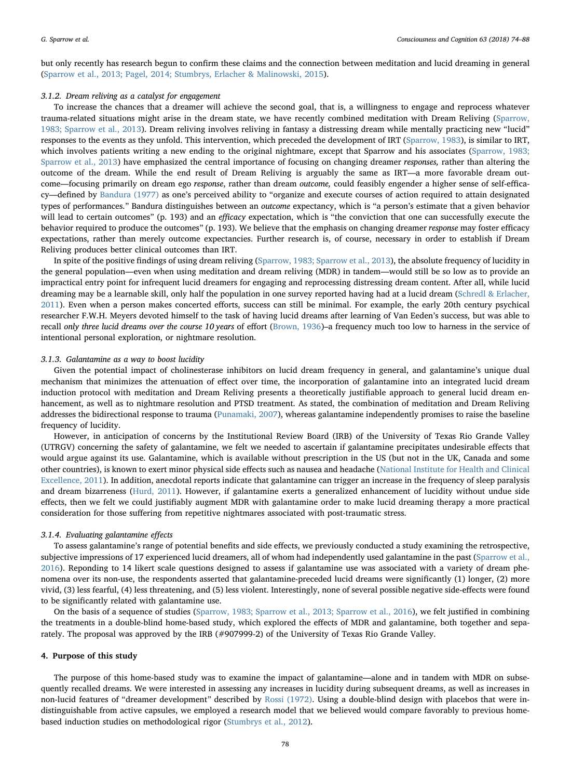but only recently has research begun to confirm these claims and the connection between meditation and lucid dreaming in general ([Sparrow et al., 2013; Pagel, 2014; Stumbrys, Erlacher & Malinowski, 2015\)](#page-13-12).

## 3.1.2. Dream reliving as a catalyst for engagement

To increase the chances that a dreamer will achieve the second goal, that is, a willingness to engage and reprocess whatever trauma-related situations might arise in the dream state, we have recently combined meditation with Dream Reliving [\(Sparrow,](#page-13-9) [1983; Sparrow et al., 2013\)](#page-13-9). Dream reliving involves reliving in fantasy a distressing dream while mentally practicing new "lucid" responses to the events as they unfold. This intervention, which preceded the development of IRT ([Sparrow, 1983](#page-13-9)), is similar to IRT, which involves patients writing a new ending to the original nightmare, except that Sparrow and his associates [\(Sparrow, 1983;](#page-13-9) [Sparrow et al., 2013](#page-13-9)) have emphasized the central importance of focusing on changing dreamer responses, rather than altering the outcome of the dream. While the end result of Dream Reliving is arguably the same as IRT––a more favorable dream outcome––focusing primarily on dream ego response, rather than dream outcome, could feasibly engender a higher sense of self-efficacy—defined by [Bandura \(1977\)](#page-12-12) as one's perceived ability to "organize and execute courses of action required to attain designated types of performances." Bandura distinguishes between an outcome expectancy, which is "a person's estimate that a given behavior will lead to certain outcomes" (p. 193) and an efficacy expectation, which is "the conviction that one can successfully execute the behavior required to produce the outcomes" (p. 193). We believe that the emphasis on changing dreamer response may foster efficacy expectations, rather than merely outcome expectancies. Further research is, of course, necessary in order to establish if Dream Reliving produces better clinical outcomes than IRT.

In spite of the positive findings of using dream reliving [\(Sparrow, 1983; Sparrow et al., 2013](#page-13-9)), the absolute frequency of lucidity in the general population––even when using meditation and dream reliving (MDR) in tandem––would still be so low as to provide an impractical entry point for infrequent lucid dreamers for engaging and reprocessing distressing dream content. After all, while lucid dreaming may be a learnable skill, only half the population in one survey reported having had at a lucid dream [\(Schredl & Erlacher,](#page-13-33) [2011\)](#page-13-33). Even when a person makes concerted efforts, success can still be minimal. For example, the early 20th century psychical researcher F.W.H. Meyers devoted himself to the task of having lucid dreams after learning of Van Eeden's success, but was able to recall only three lucid dreams over the course 10 years of effort [\(Brown, 1936](#page-12-2))–a frequency much too low to harness in the service of intentional personal exploration, or nightmare resolution.

#### 3.1.3. Galantamine as a way to boost lucidity

Given the potential impact of cholinesterase inhibitors on lucid dream frequency in general, and galantamine's unique dual mechanism that minimizes the attenuation of effect over time, the incorporation of galantamine into an integrated lucid dream induction protocol with meditation and Dream Reliving presents a theoretically justifiable approach to general lucid dream enhancement, as well as to nightmare resolution and PTSD treatment. As stated, the combination of meditation and Dream Reliving addresses the bidirectional response to trauma [\(Punamaki, 2007\)](#page-13-32), whereas galantamine independently promises to raise the baseline frequency of lucidity.

However, in anticipation of concerns by the Institutional Review Board (IRB) of the University of Texas Rio Grande Valley (UTRGV) concerning the safety of galantamine, we felt we needed to ascertain if galantamine precipitates undesirable effects that would argue against its use. Galantamine, which is available without prescription in the US (but not in the UK, Canada and some other countries), is known to exert minor physical side effects such as nausea and headache [\(National Institute for Health and Clinical](#page-13-34) [Excellence, 2011](#page-13-34)). In addition, anecdotal reports indicate that galantamine can trigger an increase in the frequency of sleep paralysis and dream bizarreness ([Hurd, 2011](#page-13-35)). However, if galantamine exerts a generalized enhancement of lucidity without undue side effects, then we felt we could justifiably augment MDR with galantamine order to make lucid dreaming therapy a more practical consideration for those suffering from repetitive nightmares associated with post-traumatic stress.

#### 3.1.4. Evaluating galantamine effects

To assess galantamine's range of potential benefits and side effects, we previously conducted a study examining the retrospective, subjective impressions of 17 experienced lucid dreamers, all of whom had independently used galantamine in the past ([Sparrow et al.,](#page-13-25) [2016\)](#page-13-25). Reponding to 14 likert scale questions designed to assess if galantamine use was associated with a variety of dream phenomena over its non-use, the respondents asserted that galantamine-preceded lucid dreams were significantly (1) longer, (2) more vivid, (3) less fearful, (4) less threatening, and (5) less violent. Interestingly, none of several possible negative side-effects were found to be significantly related with galantamine use.

On the basis of a sequence of studies [\(Sparrow, 1983; Sparrow et al., 2013; Sparrow et al., 2016](#page-13-9)), we felt justified in combining the treatments in a double-blind home-based study, which explored the effects of MDR and galantamine, both together and separately. The proposal was approved by the IRB (#907999-2) of the University of Texas Rio Grande Valley.

## 4. Purpose of this study

The purpose of this home-based study was to examine the impact of galantamine––alone and in tandem with MDR on subsequently recalled dreams. We were interested in assessing any increases in lucidity during subsequent dreams, as well as increases in non-lucid features of "dreamer development" described by [Rossi \(1972\).](#page-13-5) Using a double-blind design with placebos that were indistinguishable from active capsules, we employed a research model that we believed would compare favorably to previous homebased induction studies on methodological rigor ([Stumbrys et al., 2012](#page-13-21)).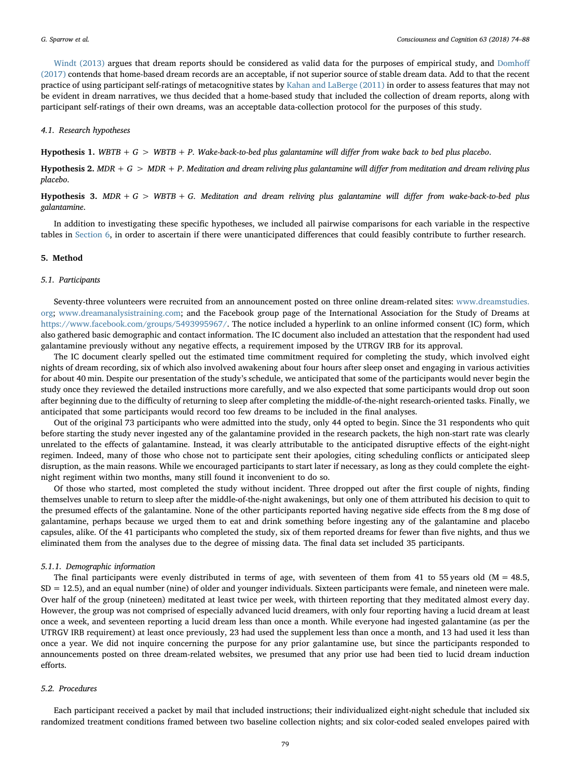[Windt \(2013\)](#page-14-5) argues that dream reports should be considered as valid data for the purposes of empirical study, and [Domho](#page-12-13)ff [\(2017\)](#page-12-13) contends that home-based dream records are an acceptable, if not superior source of stable dream data. Add to that the recent practice of using participant self-ratings of metacognitive states by [Kahan and LaBerge \(2011\)](#page-13-36) in order to assess features that may not be evident in dream narratives, we thus decided that a home-based study that included the collection of dream reports, along with participant self-ratings of their own dreams, was an acceptable data-collection protocol for the purposes of this study.

#### <span id="page-5-0"></span>4.1. Research hypotheses

Hypothesis 1. WBTB +  $G > WBTB + P$ . Wake-back-to-bed plus galantamine will differ from wake back to bed plus placebo.

Hypothesis 2. MDR +  $G > MDR + P$ . Meditation and dream reliving plus galantamine will differ from meditation and dream reliving plus placebo.

Hypothesis 3. MDR +  $G > WBTB + G$ . Meditation and dream reliving plus galantamine will differ from wake-back-to-bed plus galantamine.

In addition to investigating these specific hypotheses, we included all pairwise comparisons for each variable in the respective tables in [Section 6,](#page-8-0) in order to ascertain if there were unanticipated differences that could feasibly contribute to further research.

# 5. Method

# 5.1. Participants

Seventy-three volunteers were recruited from an announcement posted on three online dream-related sites: [www.dreamstudies.](http://www.dreamstudies.org) [org;](http://www.dreamstudies.org) [www.dreamanalysistraining.com](http://www.dreamanalysistraining.com); and the Facebook group page of the International Association for the Study of Dreams at [https://www.facebook.com/groups/5493995967/.](https://www.facebook.com/groups/5493995967/) The notice included a hyperlink to an online informed consent (IC) form, which also gathered basic demographic and contact information. The IC document also included an attestation that the respondent had used galantamine previously without any negative effects, a requirement imposed by the UTRGV IRB for its approval.

The IC document clearly spelled out the estimated time commitment required for completing the study, which involved eight nights of dream recording, six of which also involved awakening about four hours after sleep onset and engaging in various activities for about 40 min. Despite our presentation of the study's schedule, we anticipated that some of the participants would never begin the study once they reviewed the detailed instructions more carefully, and we also expected that some participants would drop out soon after beginning due to the difficulty of returning to sleep after completing the middle-of-the-night research-oriented tasks. Finally, we anticipated that some participants would record too few dreams to be included in the final analyses.

Out of the original 73 participants who were admitted into the study, only 44 opted to begin. Since the 31 respondents who quit before starting the study never ingested any of the galantamine provided in the research packets, the high non-start rate was clearly unrelated to the effects of galantamine. Instead, it was clearly attributable to the anticipated disruptive effects of the eight-night regimen. Indeed, many of those who chose not to participate sent their apologies, citing scheduling conflicts or anticipated sleep disruption, as the main reasons. While we encouraged participants to start later if necessary, as long as they could complete the eightnight regiment within two months, many still found it inconvenient to do so.

Of those who started, most completed the study without incident. Three dropped out after the first couple of nights, finding themselves unable to return to sleep after the middle-of-the-night awakenings, but only one of them attributed his decision to quit to the presumed effects of the galantamine. None of the other participants reported having negative side effects from the 8 mg dose of galantamine, perhaps because we urged them to eat and drink something before ingesting any of the galantamine and placebo capsules, alike. Of the 41 participants who completed the study, six of them reported dreams for fewer than five nights, and thus we eliminated them from the analyses due to the degree of missing data. The final data set included 35 participants.

## 5.1.1. Demographic information

The final participants were evenly distributed in terms of age, with seventeen of them from 41 to 55 years old ( $M = 48.5$ , SD = 12.5), and an equal number (nine) of older and younger individuals. Sixteen participants were female, and nineteen were male. Over half of the group (nineteen) meditated at least twice per week, with thirteen reporting that they meditated almost every day. However, the group was not comprised of especially advanced lucid dreamers, with only four reporting having a lucid dream at least once a week, and seventeen reporting a lucid dream less than once a month. While everyone had ingested galantamine (as per the UTRGV IRB requirement) at least once previously, 23 had used the supplement less than once a month, and 13 had used it less than once a year. We did not inquire concerning the purpose for any prior galantamine use, but since the participants responded to announcements posted on three dream-related websites, we presumed that any prior use had been tied to lucid dream induction efforts.

## 5.2. Procedures

Each participant received a packet by mail that included instructions; their individualized eight-night schedule that included six randomized treatment conditions framed between two baseline collection nights; and six color-coded sealed envelopes paired with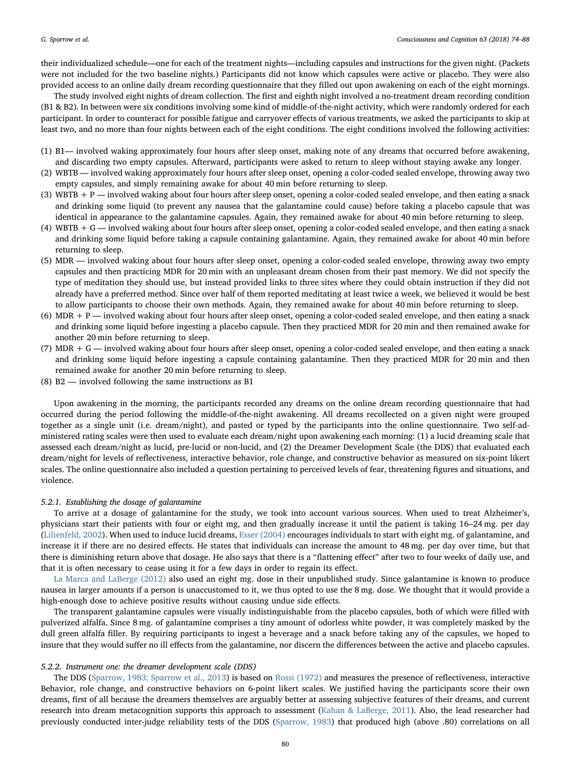their individualized schedule––one for each of the treatment nights––including capsules and instructions for the given night. (Packets were not included for the two baseline nights.) Participants did not know which capsules were active or placebo. They were also provided access to an online daily dream recording questionnaire that they filled out upon awakening on each of the eight mornings.

The study involved eight nights of dream collection. The first and eighth night involved a no-treatment dream recording condition (B1 & B2). In between were six conditions involving some kind of middle-of-the-night activity, which were randomly ordered for each participant. In order to counteract for possible fatigue and carryover effects of various treatments, we asked the participants to skip at least two, and no more than four nights between each of the eight conditions. The eight conditions involved the following activities:

- (1) B1— involved waking approximately four hours after sleep onset, making note of any dreams that occurred before awakening, and discarding two empty capsules. Afterward, participants were asked to return to sleep without staying awake any longer.
- (2) WBTB involved waking approximately four hours after sleep onset, opening a color-coded sealed envelope, throwing away two empty capsules, and simply remaining awake for about 40 min before returning to sleep.
- (3) WBTB + P involved waking about four hours after sleep onset, opening a color-coded sealed envelope, and then eating a snack and drinking some liquid (to prevent any nausea that the galantamine could cause) before taking a placebo capsule that was identical in appearance to the galantamine capsules. Again, they remained awake for about 40 min before returning to sleep.
- (4) WBTB + G involved waking about four hours after sleep onset, opening a color-coded sealed envelope, and then eating a snack and drinking some liquid before taking a capsule containing galantamine. Again, they remained awake for about 40 min before returning to sleep.
- (5) MDR involved waking about four hours after sleep onset, opening a color-coded sealed envelope, throwing away two empty capsules and then practicing MDR for 20 min with an unpleasant dream chosen from their past memory. We did not specify the type of meditation they should use, but instead provided links to three sites where they could obtain instruction if they did not already have a preferred method. Since over half of them reported meditating at least twice a week, we believed it would be best to allow participants to choose their own methods. Again, they remained awake for about 40 min before returning to sleep.
- (6) MDR  $+$  P involved waking about four hours after sleep onset, opening a color-coded sealed envelope, and then eating a snack and drinking some liquid before ingesting a placebo capsule. Then they practiced MDR for 20 min and then remained awake for another 20 min before returning to sleep.
- (7) MDR + G involved waking about four hours after sleep onset, opening a color-coded sealed envelope, and then eating a snack and drinking some liquid before ingesting a capsule containing galantamine. Then they practiced MDR for 20 min and then remained awake for another 20 min before returning to sleep.
- (8) B2 involved following the same instructions as B1

Upon awakening in the morning, the participants recorded any dreams on the online dream recording questionnaire that had occurred during the period following the middle-of-the-night awakening. All dreams recollected on a given night were grouped together as a single unit (i.e. dream/night), and pasted or typed by the participants into the online questionnaire. Two self-administered rating scales were then used to evaluate each dream/night upon awakening each morning: (1) a lucid dreaming scale that assessed each dream/night as lucid, pre-lucid or non-lucid, and (2) the Dreamer Development Scale (the DDS) that evaluated each dream/night for levels of reflectiveness, interactive behavior, role change, and constructive behavior as measured on six-point likert scales. The online questionnaire also included a question pertaining to perceived levels of fear, threatening figures and situations, and violence.

#### 5.2.1. Establishing the dosage of galantamine

To arrive at a dosage of galantamine for the study, we took into account various sources. When used to treat Alzheimer's, physicians start their patients with four or eight mg, and then gradually increase it until the patient is taking 16–24 mg. per day ([Lilienfeld, 2002](#page-13-26)). When used to induce lucid dreams, [Esser \(2004\)](#page-12-14) encourages individuals to start with eight mg. of galantamine, and increase it if there are no desired effects. He states that individuals can increase the amount to 48 mg. per day over time, but that there is diminishing return above that dosage. He also says that there is a "flattening effect" after two to four weeks of daily use, and that it is often necessary to cease using it for a few days in order to regain its effect.

[La Marca and LaBerge \(2012\)](#page-13-24) also used an eight mg. dose in their unpublished study. Since galantamine is known to produce nausea in larger amounts if a person is unaccustomed to it, we thus opted to use the 8 mg. dose. We thought that it would provide a high-enough dose to achieve positive results without causing undue side effects.

The transparent galantamine capsules were visually indistinguishable from the placebo capsules, both of which were filled with pulverized alfalfa. Since 8 mg. of galantamine comprises a tiny amount of odorless white powder, it was completely masked by the dull green alfalfa filler. By requiring participants to ingest a beverage and a snack before taking any of the capsules, we hoped to insure that they would suffer no ill effects from the galantamine, nor discern the differences between the active and placebo capsules.

#### 5.2.2. Instrument one: the dreamer development scale (DDS)

The DDS ([Sparrow, 1983; Sparrow et al., 2013\)](#page-13-9) is based on [Rossi \(1972\)](#page-13-5) and measures the presence of reflectiveness, interactive Behavior, role change, and constructive behaviors on 6-point likert scales. We justified having the participants score their own dreams, first of all because the dreamers themselves are arguably better at assessing subjective features of their dreams, and current research into dream metacognition supports this approach to assessment ([Kahan & LaBerge, 2011\)](#page-13-36). Also, the lead researcher had previously conducted inter-judge reliability tests of the DDS [\(Sparrow, 1983](#page-13-9)) that produced high (above .80) correlations on all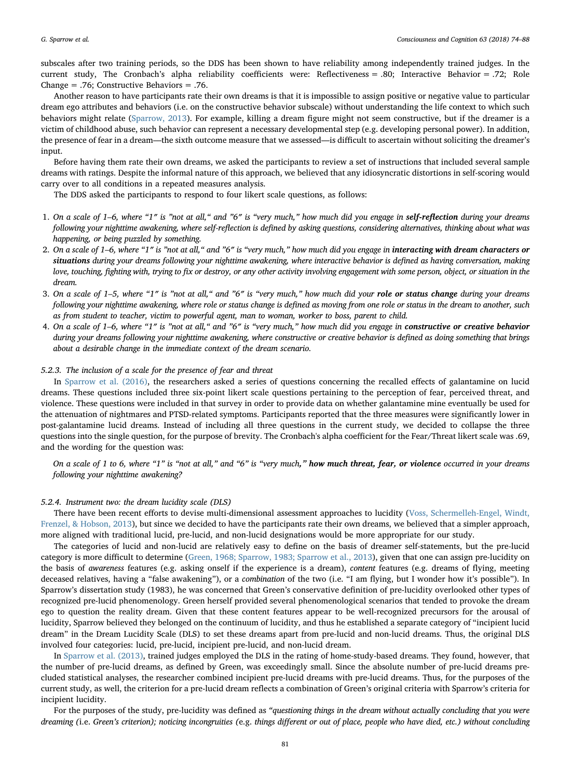subscales after two training periods, so the DDS has been shown to have reliability among independently trained judges. In the current study, The Cronbach's alpha reliability coefficients were: Reflectiveness = .80; Interactive Behavior = .72; Role Change = .76; Constructive Behaviors = .76.

Another reason to have participants rate their own dreams is that it is impossible to assign positive or negative value to particular dream ego attributes and behaviors (i.e. on the constructive behavior subscale) without understanding the life context to which such behaviors might relate ([Sparrow, 2013](#page-13-37)). For example, killing a dream figure might not seem constructive, but if the dreamer is a victim of childhood abuse, such behavior can represent a necessary developmental step (e.g. developing personal power). In addition, the presence of fear in a dream––the sixth outcome measure that we assessed––is difficult to ascertain without soliciting the dreamer's input.

Before having them rate their own dreams, we asked the participants to review a set of instructions that included several sample dreams with ratings. Despite the informal nature of this approach, we believed that any idiosyncratic distortions in self-scoring would carry over to all conditions in a repeated measures analysis.

The DDS asked the participants to respond to four likert scale questions, as follows:

- 1. On a scale of 1–6, where "1" is "not at all," and "6" is "very much," how much did you engage in self-reflection during your dreams following your nighttime awakening, where self-reflection is defined by asking questions, considering alternatives, thinking about what was happening, or being puzzled by something.
- 2. On a scale of 1–6, where "1" is "not at all," and "6" is "very much," how much did you engage in interacting with dream characters or situations during your dreams following your nighttime awakening, where interactive behavior is defined as having conversation, making love, touching, fighting with, trying to fix or destroy, or any other activity involving engagement with some person, object, or situation in the dream.
- 3. On a scale of 1–5, where "1" is "not at all," and "6" is "very much," how much did your role or status change during your dreams following your nighttime awakening, where role or status change is defined as moving from one role or status in the dream to another, such as from student to teacher, victim to powerful agent, man to woman, worker to boss, parent to child.
- 4. On a scale of 1–6, where "1" is "not at all," and "6" is "very much," how much did you engage in constructive or creative behavior during your dreams following your nighttime awakening, where constructive or creative behavior is defined as doing something that brings about a desirable change in the immediate context of the dream scenario.

## 5.2.3. The inclusion of a scale for the presence of fear and threat

In [Sparrow et al. \(2016\),](#page-13-25) the researchers asked a series of questions concerning the recalled effects of galantamine on lucid dreams. These questions included three six-point likert scale questions pertaining to the perception of fear, perceived threat, and violence. These questions were included in that survey in order to provide data on whether galantamine mine eventually be used for the attenuation of nightmares and PTSD-related symptoms. Participants reported that the three measures were significantly lower in post-galantamine lucid dreams. Instead of including all three questions in the current study, we decided to collapse the three questions into the single question, for the purpose of brevity. The Cronbach's alpha coefficient for the Fear/Threat likert scale was .69, and the wording for the question was:

On a scale of 1 to 6, where "1" is "not at all," and "6" is "very much," how much threat, fear, or violence occurred in your dreams following your nighttime awakening?

#### 5.2.4. Instrument two: the dream lucidity scale (DLS)

There have been recent efforts to devise multi-dimensional assessment approaches to lucidity [\(Voss, Schermelleh-Engel, Windt,](#page-14-6) [Frenzel, & Hobson, 2013\)](#page-14-6), but since we decided to have the participants rate their own dreams, we believed that a simpler approach, more aligned with traditional lucid, pre-lucid, and non-lucid designations would be more appropriate for our study.

The categories of lucid and non-lucid are relatively easy to define on the basis of dreamer self-statements, but the pre-lucid category is more difficult to determine ([Green, 1968; Sparrow, 1983; Sparrow et al., 2013](#page-13-1)), given that one can assign pre-lucidity on the basis of awareness features (e.g. asking onself if the experience is a dream), content features (e.g. dreams of flying, meeting deceased relatives, having a "false awakening"), or a combination of the two (i.e. "I am flying, but I wonder how it's possible"). In Sparrow's dissertation study (1983), he was concerned that Green's conservative definition of pre-lucidity overlooked other types of recognized pre-lucid phenomenology. Green herself provided several phenomenological scenarios that tended to provoke the dream ego to question the reality dream. Given that these content features appear to be well-recognized precursors for the arousal of lucidity, Sparrow believed they belonged on the continuum of lucidity, and thus he established a separate category of "incipient lucid dream" in the Dream Lucidity Scale (DLS) to set these dreams apart from pre-lucid and non-lucid dreams. Thus, the original DLS involved four categories: lucid, pre-lucid, incipient pre-lucid, and non-lucid dream.

In [Sparrow et al. \(2013\),](#page-13-12) trained judges employed the DLS in the rating of home-study-based dreams. They found, however, that the number of pre-lucid dreams, as defined by Green, was exceedingly small. Since the absolute number of pre-lucid dreams precluded statistical analyses, the researcher combined incipient pre-lucid dreams with pre-lucid dreams. Thus, for the purposes of the current study, as well, the criterion for a pre-lucid dream reflects a combination of Green's original criteria with Sparrow's criteria for incipient lucidity.

For the purposes of the study, pre-lucidity was defined as "questioning things in the dream without actually concluding that you were dreaming (i.e. Green's criterion); noticing incongruities (e.g. things different or out of place, people who have died, etc.) without concluding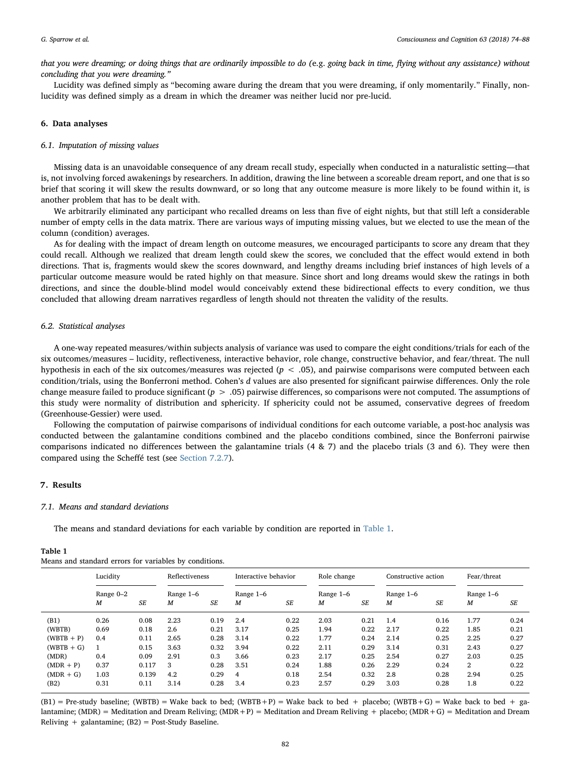that you were dreaming; or doing things that are ordinarily impossible to do (e.g. going back in time, flying without any assistance) without concluding that you were dreaming."

Lucidity was defined simply as "becoming aware during the dream that you were dreaming, if only momentarily." Finally, nonlucidity was defined simply as a dream in which the dreamer was neither lucid nor pre-lucid.

## <span id="page-8-0"></span>6. Data analyses

## 6.1. Imputation of missing values

Missing data is an unavoidable consequence of any dream recall study, especially when conducted in a naturalistic setting—that is, not involving forced awakenings by researchers. In addition, drawing the line between a scoreable dream report, and one that is so brief that scoring it will skew the results downward, or so long that any outcome measure is more likely to be found within it, is another problem that has to be dealt with.

We arbitrarily eliminated any participant who recalled dreams on less than five of eight nights, but that still left a considerable number of empty cells in the data matrix. There are various ways of imputing missing values, but we elected to use the mean of the column (condition) averages.

As for dealing with the impact of dream length on outcome measures, we encouraged participants to score any dream that they could recall. Although we realized that dream length could skew the scores, we concluded that the effect would extend in both directions. That is, fragments would skew the scores downward, and lengthy dreams including brief instances of high levels of a particular outcome measure would be rated highly on that measure. Since short and long dreams would skew the ratings in both directions, and since the double-blind model would conceivably extend these bidirectional effects to every condition, we thus concluded that allowing dream narratives regardless of length should not threaten the validity of the results.

## 6.2. Statistical analyses

A one-way repeated measures/within subjects analysis of variance was used to compare the eight conditions/trials for each of the six outcomes/measures – lucidity, reflectiveness, interactive behavior, role change, constructive behavior, and fear/threat. The null hypothesis in each of the six outcomes/measures was rejected  $(p < .05)$ , and pairwise comparisons were computed between each condition/trials, using the Bonferroni method. Cohen's d values are also presented for significant pairwise differences. Only the role change measure failed to produce significant ( $p > .05$ ) pairwise differences, so comparisons were not computed. The assumptions of this study were normality of distribution and sphericity. If sphericity could not be assumed, conservative degrees of freedom (Greenhouse-Gessier) were used.

Following the computation of pairwise comparisons of individual conditions for each outcome variable, a post-hoc analysis was conducted between the galantamine conditions combined and the placebo conditions combined, since the Bonferroni pairwise comparisons indicated no differences between the galantamine trials (4 & 7) and the placebo trials (3 and 6). They were then compared using the Scheffé test (see [Section 7.2.7](#page-10-0)).

# 7. Results

# 7.1. Means and standard deviations

The means and standard deviations for each variable by condition are reported in [Table 1](#page-8-1).

<span id="page-8-1"></span>

| Table 1                                                |  |  |  |
|--------------------------------------------------------|--|--|--|
| Means and standard errors for variables by conditions. |  |  |  |

|              | Lucidity       |           | Reflectiveness |           | Interactive behavior |           | Role change    |           | Constructive action |           | Fear/threat      |           |
|--------------|----------------|-----------|----------------|-----------|----------------------|-----------|----------------|-----------|---------------------|-----------|------------------|-----------|
|              | Range 0-2<br>M | <b>SE</b> | Range 1–6<br>M | <b>SE</b> | Range 1-6<br>M       | <b>SE</b> | Range 1-6<br>M | <b>SE</b> | Range 1-6<br>M      | <b>SE</b> | Range $1-6$<br>M | <b>SE</b> |
| (B1)         | 0.26           | 0.08      | 2.23           | 0.19      | 2.4                  | 0.22      | 2.03           | 0.21      | 1.4                 | 0.16      | 1.77             | 0.24      |
| (WBTB)       | 0.69           | 0.18      | 2.6            | 0.21      | 3.17                 | 0.25      | 1.94           | 0.22      | 2.17                | 0.22      | 1.85             | 0.21      |
| $(WBTB + P)$ | 0.4            | 0.11      | 2.65           | 0.28      | 3.14                 | 0.22      | 1.77           | 0.24      | 2.14                | 0.25      | 2.25             | 0.27      |
| $(WBTB + G)$ |                | 0.15      | 3.63           | 0.32      | 3.94                 | 0.22      | 2.11           | 0.29      | 3.14                | 0.31      | 2.43             | 0.27      |
| (MDR)        | 0.4            | 0.09      | 2.91           | 0.3       | 3.66                 | 0.23      | 2.17           | 0.25      | 2.54                | 0.27      | 2.03             | 0.25      |
| $(MDR + P)$  | 0.37           | 0.117     | 3              | 0.28      | 3.51                 | 0.24      | 1.88           | 0.26      | 2.29                | 0.24      | $\overline{2}$   | 0.22      |
| $(MDR + G)$  | 1.03           | 0.139     | 4.2            | 0.29      | $\overline{4}$       | 0.18      | 2.54           | 0.32      | 2.8                 | 0.28      | 2.94             | 0.25      |
| (B2)         | 0.31           | 0.11      | 3.14           | 0.28      | 3.4                  | 0.23      | 2.57           | 0.29      | 3.03                | 0.28      | 1.8              | 0.22      |

 $(B1)$  = Pre-study baseline; (WBTB) = Wake back to bed; (WBTB+P) = Wake back to bed + placebo; (WBTB+G) = Wake back to bed + galantamine; (MDR) = Meditation and Dream Reliving; (MDR+P) = Meditation and Dream Reliving + placebo; (MDR+G) = Meditation and Dream Reliving  $+$  galantamine; (B2) = Post-Study Baseline.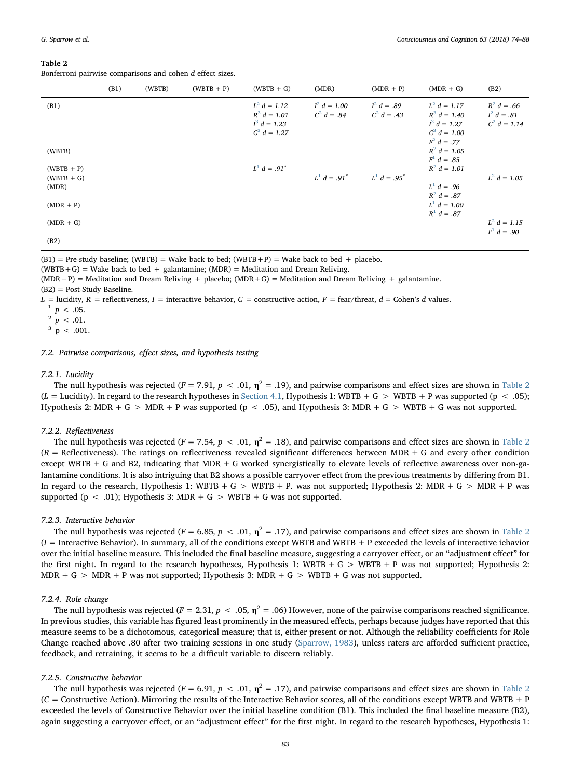#### <span id="page-9-0"></span>Table 2

Bonferroni pairwise comparisons and cohen d effect sizes.

|                        | (B1) | (WBTB) | $(WBTB + P)$ | $(WBTB + G)$                                                         | (MDR)                           | $(MDR + P)$                    | $(MDR + G)$                                                                                             | (B2)                                             |
|------------------------|------|--------|--------------|----------------------------------------------------------------------|---------------------------------|--------------------------------|---------------------------------------------------------------------------------------------------------|--------------------------------------------------|
| (B1)                   |      |        |              | $L^2$ d = 1.12<br>$R^3$ d = 1.01<br>$I^3 d = 1.23$<br>$C^3$ d = 1.27 | $I^2 d = 1.00$<br>$C^2 d = .84$ | $I^2 d = .89$<br>$C^2 d = .43$ | $L^2$ d = 1.17<br>$R^3 d = 1.40$<br>$I^3 d = 1.27$<br>$C^3 d = 1.00$<br>$F^2 d = .77$<br>$R^2 d = 1.05$ | $R^2 d = .66$<br>$I^2 d = .81$<br>$C^2$ d = 1.14 |
| (WBTB)<br>$(WBTB + P)$ |      |        |              | $L^1 d = .91^*$                                                      |                                 |                                | $F^1 d = .85$<br>$R^2 d = 1.01$                                                                         |                                                  |
| $(WBTB + G)$<br>(MDR)  |      |        |              |                                                                      | $L^1 d = .91^*$                 | $L^1$ d = .95 <sup>*</sup>     | $L^1 d = .96$<br>$R^2 d = .87$                                                                          | $L^2$ d = 1.05                                   |
| $(MDR + P)$            |      |        |              |                                                                      |                                 |                                | $L^1$ d = 1.00<br>$R^1 d = .87$                                                                         |                                                  |
| $(MDR + G)$<br>(B2)    |      |        |              |                                                                      |                                 |                                |                                                                                                         | $L^2$ d = 1.15<br>$F^1 d = .90$                  |

 $(B1)$  = Pre-study baseline; (WBTB) = Wake back to bed; (WBTB+P) = Wake back to bed + placebo.

 $(WBTB+G) = Wake$  back to bed + galantamine;  $(MDR) = \text{Median Reliving}$ .

 $(MDR + P)$  = Meditation and Dream Reliving + placebo;  $(MDR + G)$  = Meditation and Dream Reliving + galantamine.

(B2) = Post-Study Baseline.

 $L = \text{lucidity}, R = \text{reflectiveness}, I = \text{interactive behavior}, C = \text{constructive action}, F = \text{fear/threat}, d = \text{Cohen's } d \text{ values}.$ 

- <span id="page-9-3"></span> $^{1}$  p < .05.
- <span id="page-9-1"></span> $2^{r} p < .01.$
- <span id="page-9-2"></span> $3 p < .001$ .
- 

## 7.2. Pairwise comparisons, effect sizes, and hypothesis testing

## 7.2.1. Lucidity

The null hypothesis was rejected ( $F = 7.91$ ,  $p < .01$ ,  $\eta^2 = .19$ ), and pairwise comparisons and effect sizes are shown in [Table 2](#page-9-0)  $(L = \text{Lucidity})$ . In regard to the research hypotheses in [Section 4.1,](#page-5-0) Hypothesis 1: WBTB + G > WBTB + P was supported (p < .05); Hypothesis 2: MDR + G > MDR + P was supported ( $p < .05$ ), and Hypothesis 3: MDR + G > WBTB + G was not supported.

#### 7.2.2. Reflectiveness

The null hypothesis was rejected ( $F = 7.54$ ,  $p < .01$ ,  $\eta^2 = .18$ ), and pairwise comparisons and effect sizes are shown in [Table 2](#page-9-0)  $(R = \text{Reflections})$ . The ratings on reflectiveness revealed significant differences between MDR + G and every other condition except WBTB + G and B2, indicating that MDR + G worked synergistically to elevate levels of reflective awareness over non-galantamine conditions. It is also intriguing that B2 shows a possible carryover effect from the previous treatments by differing from B1. In regard to the research, Hypothesis 1: WBTB + G > WBTB + P. was not supported; Hypothesis 2: MDR + G > MDR + P was supported (p < .01); Hypothesis 3: MDR + G > WBTB + G was not supported.

#### 7.2.3. Interactive behavior

The null hypothesis was rejected ( $F = 6.85$ ,  $p < .01$ ,  $\eta^2 = .17$ ), and pairwise comparisons and effect sizes are shown in [Table 2](#page-9-0)  $(I = Interactive Behavior)$ . In summary, all of the conditions except WBTB and WBTB + P exceeded the levels of interactive iehavior over the initial baseline measure. This included the final baseline measure, suggesting a carryover effect, or an "adjustment effect" for the first night. In regard to the research hypotheses, Hypothesis 1: WBTB + G > WBTB + P was not supported; Hypothesis 2:  $MDR + G$  >  $MDR + P$  was not supported; Hypothesis 3:  $MDR + G$  >  $WBTB + G$  was not supported.

## 7.2.4. Role change

The null hypothesis was rejected ( $F = 2.31$ ,  $p < .05$ ,  $\eta^2 = .06$ ) However, none of the pairwise comparisons reached significance. In previous studies, this variable has figured least prominently in the measured effects, perhaps because judges have reported that this measure seems to be a dichotomous, categorical measure; that is, either present or not. Although the reliability coefficients for Role Change reached above .80 after two training sessions in one study ([Sparrow, 1983](#page-13-9)), unless raters are afforded sufficient practice, feedback, and retraining, it seems to be a difficult variable to discern reliably.

#### 7.2.5. Constructive behavior

The null hypothesis was rejected ( $F = 6.91$ ,  $p < .01$ ,  $\eta^2 = .17$ ), and pairwise comparisons and effect sizes are shown in [Table 2](#page-9-0) (C = Constructive Action). Mirroring the results of the Interactive Behavior scores, all of the conditions except WBTB and WBTB + P exceeded the levels of Constructive Behavior over the initial baseline condition (B1). This included the final baseline measure (B2), again suggesting a carryover effect, or an "adjustment effect" for the first night. In regard to the research hypotheses, Hypothesis 1: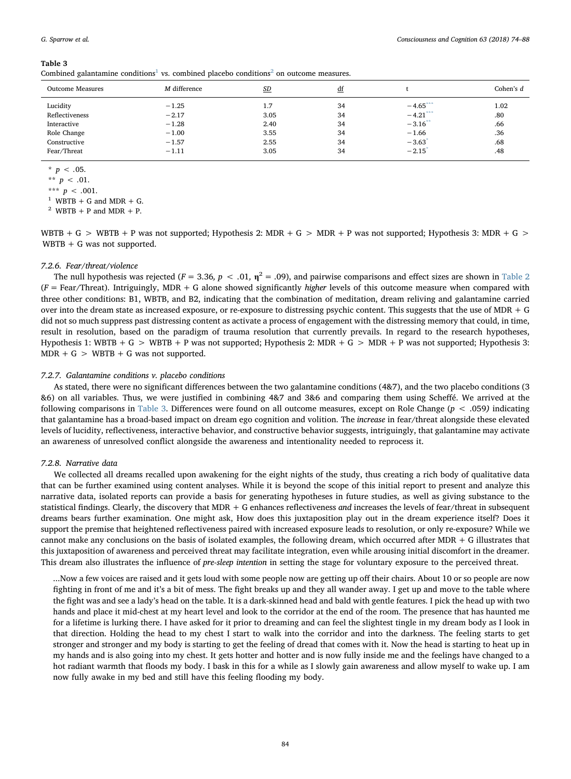#### <span id="page-10-1"></span>Table 3

Combined galantamine conditions<sup>[1](#page-10-2)</sup> vs. combined placebo conditions<sup>[2](#page-10-3)</sup> on outcome measures.

| <b>Outcome Measures</b> | M difference | <b>SD</b> | df |            | Cohen's $d$ |
|-------------------------|--------------|-----------|----|------------|-------------|
| Lucidity                | $-1.25$      | 1.7       | 34 | $-4.65***$ | 1.02        |
| Reflectiveness          | $-2.17$      | 3.05      | 34 | $-4.21***$ | .80         |
| Interactive             | $-1.28$      | 2.40      | 34 | $-3.16$    | .66         |
| Role Change             | $-1.00$      | 3.55      | 34 | $-1.66$    | .36         |
| Constructive            | $-1.57$      | 2.55      | 34 | $-3.63$    | .68         |
| Fear/Threat             | $-1.11$      | 3.05      | 34 | $-2.15$    | .48         |

<span id="page-10-6"></span><sup>\*</sup>  $p < .05$ .

<span id="page-10-5"></span>\*\*  $p < .01$ .

<span id="page-10-4"></span>\*\*\*  $p < .001$ .

<span id="page-10-2"></span><sup>1</sup> WBTB + G and MDR + G.

<span id="page-10-3"></span><sup>2</sup> WBTB + P and MDR + P.

WBTB + G > WBTB + P was not supported; Hypothesis 2: MDR + G > MDR + P was not supported; Hypothesis 3: MDR + G > WBTB + G was not supported.

## 7.2.6. Fear/threat/violence

The null hypothesis was rejected ( $F = 3.36$ ,  $p < .01$ ,  $\eta^2 = .09$ ), and pairwise comparisons and effect sizes are shown in [Table 2](#page-9-0)  $(F = Fear/Thread)$ . Intriguingly, MDR + G alone showed significantly *higher* levels of this outcome measure when compared with three other conditions: B1, WBTB, and B2, indicating that the combination of meditation, dream reliving and galantamine carried over into the dream state as increased exposure, or re-exposure to distressing psychic content. This suggests that the use of MDR + G did not so much suppress past distressing content as activate a process of engagement with the distressing memory that could, in time, result in resolution, based on the paradigm of trauma resolution that currently prevails. In regard to the research hypotheses, Hypothesis 1: WBTB + G > WBTB + P was not supported; Hypothesis 2: MDR + G > MDR + P was not supported; Hypothesis 3:  $MDR + G$  > WBTB + G was not supported.

## <span id="page-10-0"></span>7.2.7. Galantamine conditions v. placebo conditions

As stated, there were no significant differences between the two galantamine conditions (4&7), and the two placebo conditions (3 &6) on all variables. Thus, we were justified in combining 4&7 and 3&6 and comparing them using Scheffé. We arrived at the following comparisons in [Table 3](#page-10-1). Differences were found on all outcome measures, except on Role Change ( $p < .059$ ) indicating that galantamine has a broad-based impact on dream ego cognition and volition. The increase in fear/threat alongside these elevated levels of lucidity, reflectiveness, interactive behavior, and constructive behavior suggests, intriguingly, that galantamine may activate an awareness of unresolved conflict alongside the awareness and intentionality needed to reprocess it.

## 7.2.8. Narrative data

We collected all dreams recalled upon awakening for the eight nights of the study, thus creating a rich body of qualitative data that can be further examined using content analyses. While it is beyond the scope of this initial report to present and analyze this narrative data, isolated reports can provide a basis for generating hypotheses in future studies, as well as giving substance to the statistical findings. Clearly, the discovery that MDR + G enhances reflectiveness and increases the levels of fear/threat in subsequent dreams bears further examination. One might ask, How does this juxtaposition play out in the dream experience itself? Does it support the premise that heightened reflectiveness paired with increased exposure leads to resolution, or only re-exposure? While we cannot make any conclusions on the basis of isolated examples, the following dream, which occurred after MDR + G illustrates that this juxtaposition of awareness and perceived threat may facilitate integration, even while arousing initial discomfort in the dreamer. This dream also illustrates the influence of pre-sleep intention in setting the stage for voluntary exposure to the perceived threat.

...Now a few voices are raised and it gets loud with some people now are getting up off their chairs. About 10 or so people are now fighting in front of me and it's a bit of mess. The fight breaks up and they all wander away. I get up and move to the table where the fight was and see a lady's head on the table. It is a dark-skinned head and bald with gentle features. I pick the head up with two hands and place it mid-chest at my heart level and look to the corridor at the end of the room. The presence that has haunted me for a lifetime is lurking there. I have asked for it prior to dreaming and can feel the slightest tingle in my dream body as I look in that direction. Holding the head to my chest I start to walk into the corridor and into the darkness. The feeling starts to get stronger and stronger and my body is starting to get the feeling of dread that comes with it. Now the head is starting to heat up in my hands and is also going into my chest. It gets hotter and hotter and is now fully inside me and the feelings have changed to a hot radiant warmth that floods my body. I bask in this for a while as I slowly gain awareness and allow myself to wake up. I am now fully awake in my bed and still have this feeling flooding my body.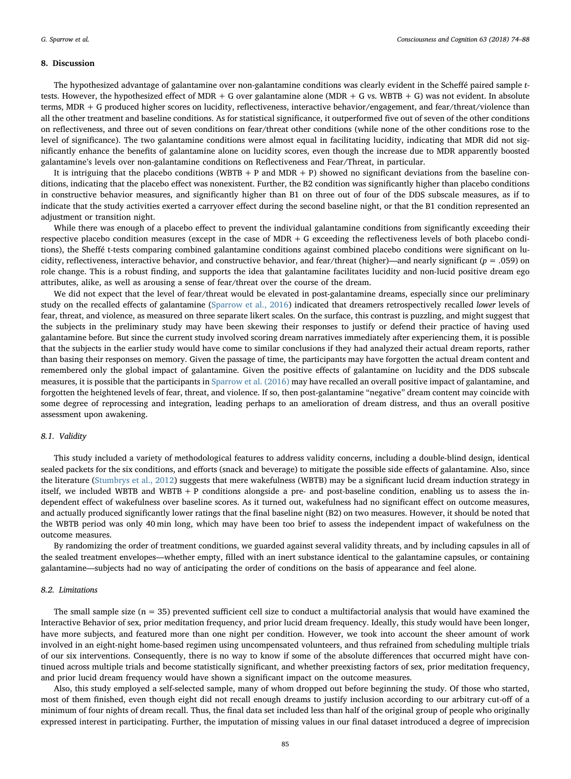# 8. Discussion

The hypothesized advantage of galantamine over non-galantamine conditions was clearly evident in the Scheffé paired sample ttests. However, the hypothesized effect of MDR + G over galantamine alone (MDR + G vs. WBTB + G) was not evident. In absolute terms, MDR + G produced higher scores on lucidity, reflectiveness, interactive behavior/engagement, and fear/threat/violence than all the other treatment and baseline conditions. As for statistical significance, it outperformed five out of seven of the other conditions on reflectiveness, and three out of seven conditions on fear/threat other conditions (while none of the other conditions rose to the level of significance). The two galantamine conditions were almost equal in facilitating lucidity, indicating that MDR did not significantly enhance the benefits of galantamine alone on lucidity scores, even though the increase due to MDR apparently boosted galantamine's levels over non-galantamine conditions on Reflectiveness and Fear/Threat, in particular.

It is intriguing that the placebo conditions (WBTB + P and MDR + P) showed no significant deviations from the baseline conditions, indicating that the placebo effect was nonexistent. Further, the B2 condition was significantly higher than placebo conditions in constructive behavior measures, and significantly higher than B1 on three out of four of the DDS subscale measures, as if to indicate that the study activities exerted a carryover effect during the second baseline night, or that the B1 condition represented an adjustment or transition night.

While there was enough of a placebo effect to prevent the individual galantamine conditions from significantly exceeding their respective placebo condition measures (except in the case of MDR + G exceeding the reflectiveness levels of both placebo conditions), the Sheffé t-tests comparing combined galantamine conditions against combined placebo conditions were significant on lucidity, reflectiveness, interactive behavior, and constructive behavior, and fear/threat (higher)—and nearly significant ( $p = .059$ ) on role change. This is a robust finding, and supports the idea that galantamine facilitates lucidity and non-lucid positive dream ego attributes, alike, as well as arousing a sense of fear/threat over the course of the dream.

We did not expect that the level of fear/threat would be elevated in post-galantamine dreams, especially since our preliminary study on the recalled effects of galantamine ([Sparrow et al., 2016](#page-13-25)) indicated that dreamers retrospectively recalled lower levels of fear, threat, and violence, as measured on three separate likert scales. On the surface, this contrast is puzzling, and might suggest that the subjects in the preliminary study may have been skewing their responses to justify or defend their practice of having used galantamine before. But since the current study involved scoring dream narratives immediately after experiencing them, it is possible that the subjects in the earlier study would have come to similar conclusions if they had analyzed their actual dream reports, rather than basing their responses on memory. Given the passage of time, the participants may have forgotten the actual dream content and remembered only the global impact of galantamine. Given the positive effects of galantamine on lucidity and the DDS subscale measures, it is possible that the participants in [Sparrow et al. \(2016\)](#page-13-25) may have recalled an overall positive impact of galantamine, and forgotten the heightened levels of fear, threat, and violence. If so, then post-galantamine "negative" dream content may coincide with some degree of reprocessing and integration, leading perhaps to an amelioration of dream distress, and thus an overall positive assessment upon awakening.

## 8.1. Validity

This study included a variety of methodological features to address validity concerns, including a double-blind design, identical sealed packets for the six conditions, and efforts (snack and beverage) to mitigate the possible side effects of galantamine. Also, since the literature ([Stumbrys et al., 2012](#page-13-21)) suggests that mere wakefulness (WBTB) may be a significant lucid dream induction strategy in itself, we included WBTB and WBTB + P conditions alongside a pre- and post-baseline condition, enabling us to assess the independent effect of wakefulness over baseline scores. As it turned out, wakefulness had no significant effect on outcome measures, and actually produced significantly lower ratings that the final baseline night (B2) on two measures. However, it should be noted that the WBTB period was only 40 min long, which may have been too brief to assess the independent impact of wakefulness on the outcome measures.

By randomizing the order of treatment conditions, we guarded against several validity threats, and by including capsules in all of the sealed treatment envelopes—whether empty, filled with an inert substance identical to the galantamine capsules, or containing galantamine—subjects had no way of anticipating the order of conditions on the basis of appearance and feel alone.

# 8.2. Limitations

The small sample size  $(n = 35)$  prevented sufficient cell size to conduct a multifactorial analysis that would have examined the Interactive Behavior of sex, prior meditation frequency, and prior lucid dream frequency. Ideally, this study would have been longer, have more subjects, and featured more than one night per condition. However, we took into account the sheer amount of work involved in an eight-night home-based regimen using uncompensated volunteers, and thus refrained from scheduling multiple trials of our six interventions. Consequently, there is no way to know if some of the absolute differences that occurred might have continued across multiple trials and become statistically significant, and whether preexisting factors of sex, prior meditation frequency, and prior lucid dream frequency would have shown a significant impact on the outcome measures.

Also, this study employed a self-selected sample, many of whom dropped out before beginning the study. Of those who started, most of them finished, even though eight did not recall enough dreams to justify inclusion according to our arbitrary cut-off of a minimum of four nights of dream recall. Thus, the final data set included less than half of the original group of people who originally expressed interest in participating. Further, the imputation of missing values in our final dataset introduced a degree of imprecision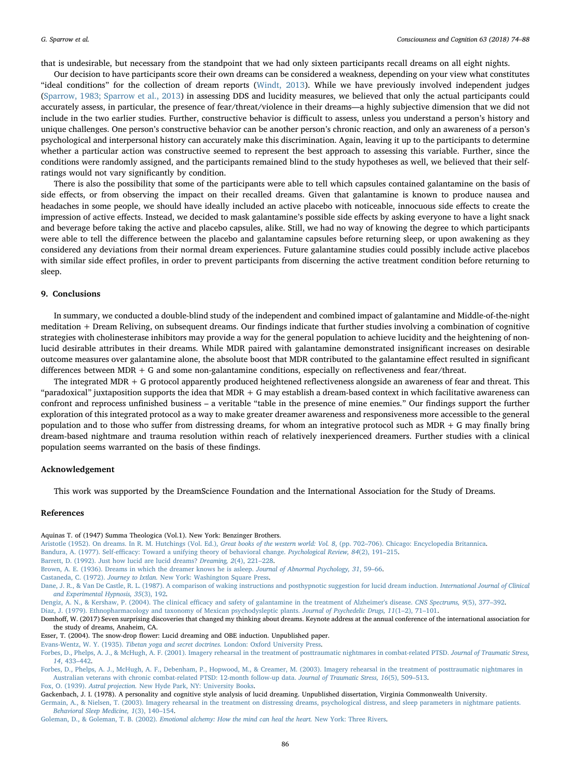that is undesirable, but necessary from the standpoint that we had only sixteen participants recall dreams on all eight nights.

Our decision to have participants score their own dreams can be considered a weakness, depending on your view what constitutes "ideal conditions" for the collection of dream reports ([Windt, 2013\)](#page-14-5). While we have previously involved independent judges ([Sparrow, 1983; Sparrow et al., 2013](#page-13-9)) in assessing DDS and lucidity measures, we believed that only the actual participants could accurately assess, in particular, the presence of fear/threat/violence in their dreams—a highly subjective dimension that we did not include in the two earlier studies. Further, constructive behavior is difficult to assess, unless you understand a person's history and unique challenges. One person's constructive behavior can be another person's chronic reaction, and only an awareness of a person's psychological and interpersonal history can accurately make this discrimination. Again, leaving it up to the participants to determine whether a particular action was constructive seemed to represent the best approach to assessing this variable. Further, since the conditions were randomly assigned, and the participants remained blind to the study hypotheses as well, we believed that their selfratings would not vary significantly by condition.

There is also the possibility that some of the participants were able to tell which capsules contained galantamine on the basis of side effects, or from observing the impact on their recalled dreams. Given that galantamine is known to produce nausea and headaches in some people, we should have ideally included an active placebo with noticeable, innocuous side effects to create the impression of active effects. Instead, we decided to mask galantamine's possible side effects by asking everyone to have a light snack and beverage before taking the active and placebo capsules, alike. Still, we had no way of knowing the degree to which participants were able to tell the difference between the placebo and galantamine capsules before returning sleep, or upon awakening as they considered any deviations from their normal dream experiences. Future galantamine studies could possibly include active placebos with similar side effect profiles, in order to prevent participants from discerning the active treatment condition before returning to sleep.

# 9. Conclusions

In summary, we conducted a double-blind study of the independent and combined impact of galantamine and Middle-of-the-night meditation + Dream Reliving, on subsequent dreams. Our findings indicate that further studies involving a combination of cognitive strategies with cholinesterase inhibitors may provide a way for the general population to achieve lucidity and the heightening of nonlucid desirable attributes in their dreams. While MDR paired with galantamine demonstrated insignificant increases on desirable outcome measures over galantamine alone, the absolute boost that MDR contributed to the galantamine effect resulted in significant differences between MDR + G and some non-galantamine conditions, especially on reflectiveness and fear/threat.

The integrated MDR + G protocol apparently produced heightened reflectiveness alongside an awareness of fear and threat. This "paradoxical" juxtaposition supports the idea that MDR + G may establish a dream-based context in which facilitative awareness can confront and reprocess unfinished business – a veritable "table in the presence of mine enemies." Our findings support the further exploration of this integrated protocol as a way to make greater dreamer awareness and responsiveness more accessible to the general population and to those who suffer from distressing dreams, for whom an integrative protocol such as MDR + G may finally bring dream-based nightmare and trauma resolution within reach of relatively inexperienced dreamers. Further studies with a clinical population seems warranted on the basis of these findings.

## Acknowledgement

This work was supported by the DreamScience Foundation and the International Association for the Study of Dreams.

#### References

<span id="page-12-0"></span>Aquinas T. of (1947) Summa Theologica (Vol.1). New York: Benzinger Brothers.

<span id="page-12-12"></span>[Aristotle \(1952\). On dreams. In R. M. Hutchings \(Vol. Ed.\),](http://refhub.elsevier.com/S1053-8100(17)30624-4/h0015) Great books of the western world: Vol. 8, (pp. 702–706). Chicago: Encyclopedia Britannica. Bandura, A. (1977). Self-effi[cacy: Toward a unifying theory of behavioral change.](http://refhub.elsevier.com/S1053-8100(17)30624-4/h0020) Psychological Review, 84(2), 191–215.

<span id="page-12-6"></span>[Barrett, D. \(1992\). Just how lucid are lucid dreams?](http://refhub.elsevier.com/S1053-8100(17)30624-4/h0025) Dreaming, 2(4), 221–228.

<span id="page-12-2"></span>[Brown, A. E. \(1936\). Dreams in which the dreamer knows he is asleep.](http://refhub.elsevier.com/S1053-8100(17)30624-4/h0030) Journal of Abnormal Psychology, 31, 59–66.

<span id="page-12-3"></span>Castaneda, C. (1972). Journey to Ixtlan. [New York: Washington Square Press](http://refhub.elsevier.com/S1053-8100(17)30624-4/h0035).

<span id="page-12-7"></span>[Dane, J. R., & Van De Castle, R. L. \(1987\). A comparison of waking instructions and posthypnotic suggestion for lucid dream induction.](http://refhub.elsevier.com/S1053-8100(17)30624-4/h0040) International Journal of Clinical [and Experimental Hypnosis, 35](http://refhub.elsevier.com/S1053-8100(17)30624-4/h0040)(3), 192.

<span id="page-12-9"></span>Dengiz, A. N., & Kershaw, P. (2004). The clinical effi[cacy and safety of galantamine in the treatment of Alzheimer's disease.](http://refhub.elsevier.com/S1053-8100(17)30624-4/h0045) CNS Spectrums, 9(5), 377-392.

<span id="page-12-8"></span>[Diaz, J. \(1979\). Ethnopharmacology and taxonomy of Mexican psychodysleptic plants.](http://refhub.elsevier.com/S1053-8100(17)30624-4/h0050) Journal of Psychedelic Drugs, 11(1–2), 71–101.

<span id="page-12-13"></span>Domhoff, W. (2017) Seven surprising discoveries that changed my thinking about dreams. Keynote address at the annual conference of the international association for the study of dreams, Anaheim, CA.

<span id="page-12-14"></span>Esser, T. (2004). The snow-drop flower: Lucid dreaming and OBE induction. Unpublished paper.

<span id="page-12-5"></span>Evans-Wentz, W. Y. (1935). Tibetan yoga and secret doctrines. [London: Oxford University Press](http://refhub.elsevier.com/S1053-8100(17)30624-4/h0065).

<span id="page-12-10"></span>[Forbes, D., Phelps, A. J., & McHugh, A. F. \(2001\). Imagery rehearsal in the treatment of posttraumatic nightmares in combat-related PTSD.](http://refhub.elsevier.com/S1053-8100(17)30624-4/h0070) Journal of Traumatic Stress, 14[, 433](http://refhub.elsevier.com/S1053-8100(17)30624-4/h0070)–442.

[Forbes, D., Phelps, A. J., McHugh, A. F., Debenham, P., Hopwood, M., & Creamer, M. \(2003\). Imagery rehearsal in the treatment of posttraumatic nightmares in](http://refhub.elsevier.com/S1053-8100(17)30624-4/h0075) [Australian veterans with chronic combat-related PTSD: 12-month follow-up data.](http://refhub.elsevier.com/S1053-8100(17)30624-4/h0075) Journal of Traumatic Stress, 16(5), 509–513. Fox, O. (1939). Astral projection. [New Hyde Park, NY: University Books.](http://refhub.elsevier.com/S1053-8100(17)30624-4/h0080)

<span id="page-12-4"></span><span id="page-12-1"></span>Gackenbach, J. I. (1978). A personality and cognitive style analysis of lucid dreaming. Unpublished dissertation, Virginia Commonwealth University.

[Germain, A., & Nielsen, T. \(2003\). Imagery rehearsal in the treatment on distressing dreams, psychological distress, and sleep parameters in nightmare patients.](http://refhub.elsevier.com/S1053-8100(17)30624-4/h0090) [Behavioral Sleep Medicine, 1](http://refhub.elsevier.com/S1053-8100(17)30624-4/h0090)(3), 140–154.

<span id="page-12-11"></span>Goleman, D., & Goleman, T. B. (2002). [Emotional alchemy: How the mind can heal the heart.](http://refhub.elsevier.com/S1053-8100(17)30624-4/h0095) New York: Three Rivers.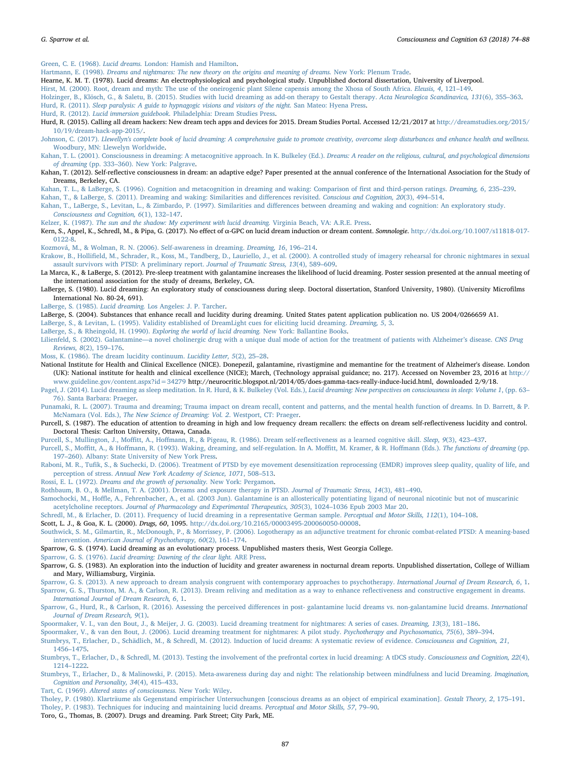<span id="page-13-1"></span>Green, C. E. (1968). Lucid dreams. [London: Hamish and Hamilton.](http://refhub.elsevier.com/S1053-8100(17)30624-4/h0100)

<span id="page-13-6"></span>Hartmann, E. (1998). [Dreams and nightmares: The new theory on the origins and meaning of dreams.](http://refhub.elsevier.com/S1053-8100(17)30624-4/h0105) New York: Plenum Trade.

<span id="page-13-2"></span>Hearne, K. M. T. (1978). Lucid dreams: An electrophysiological and psychological study. Unpublished doctoral dissertation, University of Liverpool.

<span id="page-13-20"></span>[Hirst, M. \(2000\). Root, dream and myth: The use of the oneirogenic plant Silene capensis among the Xhosa of South Africa.](http://refhub.elsevier.com/S1053-8100(17)30624-4/h0115) Eleusis, 4, 121–149.

<span id="page-13-35"></span>[Holzinger, B., Klösch, G., & Saletu, B. \(2015\). Studies with lucid dreaming as add-on therapy to Gestalt therapy.](http://refhub.elsevier.com/S1053-8100(17)30624-4/h0120) Acta Neurologica Scandinavica, 131(6), 355–363. Hurd, R. (2011). [Sleep paralysis: A guide to hypnagogic visions and visitors of the night.](http://refhub.elsevier.com/S1053-8100(17)30624-4/h0125) San Mateo: Hyena Press.

- <span id="page-13-15"></span>Hurd, R. (2012). Lucid immersion guidebook. [Philadelphia: Dream Studies Press](http://refhub.elsevier.com/S1053-8100(17)30624-4/h0130).
- <span id="page-13-18"></span>Hurd, R. (2015). Calling all dream hackers: New dream tech apps and devices for 2015. Dream Studies Portal. Accessed 12/21/2017 at [http://dreamstudies.org/2015/](http://dreamstudies.org/2015/10/19/dream-hack-app-2015/) [10/19/dream-hack-app-2015/.](http://dreamstudies.org/2015/10/19/dream-hack-app-2015/)

Johnson, C. (2017). [Llewellyn's complete book of lucid dreaming: A comprehensive guide to promote creativity, overcome sleep disturbances and enhance health and wellness.](http://refhub.elsevier.com/S1053-8100(17)30624-4/h0145) [Woodbury, MN: Llewelyn Worldwide.](http://refhub.elsevier.com/S1053-8100(17)30624-4/h0145)

<span id="page-13-8"></span>[Kahan, T. L. \(2001\). Consciousness in dreaming: A metacognitive approach. In K. Bulkeley \(Ed.\).](http://refhub.elsevier.com/S1053-8100(17)30624-4/h9010) Dreams: A reader on the religious, cultural, and psychological dimensions of dreaming (pp. 333–[360\). New York: Palgrave](http://refhub.elsevier.com/S1053-8100(17)30624-4/h9010).

<span id="page-13-11"></span>Kahan, T. (2012). Self-reflective consciousness in dream: an adaptive edge? Paper presented at the annual conference of the International Association for the Study of Dreams, Berkeley, CA.

[Kahan, T. L., & LaBerge, S. \(1996\). Cognition and metacognition in dreaming and waking: Comparison of](http://refhub.elsevier.com/S1053-8100(17)30624-4/h9015) first and third-person ratings. Dreaming, 6, 235–239.

<span id="page-13-36"></span>[Kahan, T., & LaBerge, S. \(2011\). Dreaming and waking: Similarities and di](http://refhub.elsevier.com/S1053-8100(17)30624-4/h0155)fferences revisited. Conscious and Cognition, 20(3), 494–514.

[Kahan, T., LaBerge, S., Levitan, L., & Zimbardo, P. \(1997\). Similarities and di](http://refhub.elsevier.com/S1053-8100(17)30624-4/h0160)fferences between dreaming and waking and cognition: An exploratory study. [Consciousness and Cognition, 6](http://refhub.elsevier.com/S1053-8100(17)30624-4/h0160)(1), 132–147.

<span id="page-13-4"></span>Kelzer, K. (1987). [The sun and the shadow: My experiment with lucid dreaming.](http://refhub.elsevier.com/S1053-8100(17)30624-4/h0165) Virginia Beach, VA: A.R.E. Press.

<span id="page-13-22"></span>Kern, S., Appel, K., Schredl, M., & Pipa, G. (2017). No effect of α-GPC on lucid dream induction or dream content. Somnologie. [http://dx.doi.org/10.1007/s11818-017-](http://dx.doi.org/10.1007/s11818-017-0122-8) [0122-8.](http://dx.doi.org/10.1007/s11818-017-0122-8)

<span id="page-13-10"></span>[Kozmová, M., & Wolman, R. N. \(2006\). Self-awareness in dreaming.](http://refhub.elsevier.com/S1053-8100(17)30624-4/h0175) Dreaming, 16, 196–214.

- Krakow, B., Hollifi[eld, M., Schrader, R., Koss, M., Tandberg, D., Lauriello, J., et al. \(2000\). A controlled study of imagery rehearsal for chronic nightmares in sexual](http://refhub.elsevier.com/S1053-8100(17)30624-4/h0180) [assault survivors with PTSD: A preliminary report.](http://refhub.elsevier.com/S1053-8100(17)30624-4/h0180) Journal of Traumatic Stress, 13(4), 589–609.
- <span id="page-13-24"></span>La Marca, K., & LaBerge, S. (2012). Pre-sleep treatment with galantamine increases the likelihood of lucid dreaming. Poster session presented at the annual meeting of the international association for the study of dreams, Berkeley, CA.

<span id="page-13-14"></span>LaBerge, S. (1980). Lucid dreaming: An exploratory study of consciousness during sleep. Doctoral dissertation, Stanford University, 1980). (University Microfilms International No. 80-24, 691).

<span id="page-13-3"></span>LaBerge, S. (1985). Lucid dreaming. [Los Angeles: J. P. Tarcher.](http://refhub.elsevier.com/S1053-8100(17)30624-4/h0195)

<span id="page-13-23"></span>LaBerge, S. (2004). Substances that enhance recall and lucidity during dreaming. United States patent application publication no. US 2004/0266659 A1.

<span id="page-13-16"></span>[LaBerge, S., & Levitan, L. \(1995\). Validity established of DreamLight cues for eliciting lucid dreaming.](http://refhub.elsevier.com/S1053-8100(17)30624-4/h0205) Dreaming, 5, 3.

[LaBerge, S., & Rheingold, H. \(1990\).](http://refhub.elsevier.com/S1053-8100(17)30624-4/h0210) Exploring the world of lucid dreaming. New York: Ballantine Books.

<span id="page-13-26"></span>Lilienfeld, S. (2002). Galantamine––[a novel cholinergic drug with a unique dual mode of action for the treatment of patients with Alzheimer](http://refhub.elsevier.com/S1053-8100(17)30624-4/h0215)'s disease. CNS Drug [Reviews, 8](http://refhub.elsevier.com/S1053-8100(17)30624-4/h0215)(2), 159–176.

<span id="page-13-7"></span>[Moss, K. \(1986\). The dream lucidity continuum.](http://refhub.elsevier.com/S1053-8100(17)30624-4/h0225) Lucidity Letter, 5(2), 25–28.

<span id="page-13-34"></span>National Institute for Health and Clinical Excellence (NICE). Donepezil, galantamine, rivastigmine and memantine for the treatment of Alzheimer's disease. London (UK): National institute for health and clinical excellence (NICE); March, (Technology appraisal guidance; no. 217). Accessed on November 23, 2016 at [http://](http://www.guideline.gov/content.aspx?id=34279) [www.guideline.gov/content.aspx?id=34279](http://www.guideline.gov/content.aspx?id=34279) http://neurocritic.blogspot.nl/2014/05/does-gamma-tacs-really-induce-lucid.html, downloaded 2/9/18.

[Pagel, J. \(2014\). Lucid dreaming as sleep meditation. In R. Hurd, & K. Bulkeley \(Vol. Eds.\),](http://refhub.elsevier.com/S1053-8100(17)30624-4/h0235) Lucid dreaming: New perspectives on consciousness in sleep: Volume 1, (pp. 63– [76\). Santa Barbara: Praeger.](http://refhub.elsevier.com/S1053-8100(17)30624-4/h0235)

<span id="page-13-32"></span>[Punamaki, R. L. \(2007\). Trauma and dreaming; Trauma impact on dream recall, content and patterns, and the mental health function of dreams. In D. Barrett, & P.](http://refhub.elsevier.com/S1053-8100(17)30624-4/h0240) McNamara (Vol. Eds.), [The New Science of Dreaming: Vol. 2](http://refhub.elsevier.com/S1053-8100(17)30624-4/h0240). Westport, CT: Praeger.

Purcell, S. (1987). The education of attention to dreaming in high and low frequency dream recallers: the effects on dream self-reflectiveness lucidity and control. Doctoral Thesis: Carlton University, Ottawa, Canada.

<span id="page-13-13"></span>Purcell, S., Mullington, J., Moffitt, A., Hoff[mann, R., & Pigeau, R. \(1986\). Dream self-re](http://refhub.elsevier.com/S1053-8100(17)30624-4/h9025)flectiveness as a learned cognitive skill. Sleep, 9(3), 423–437.

Purcell, S., Moffitt, A., & Hoff[mann, R. \(1993\). Waking, dreaming, and self-regulation. In A. Mo](http://refhub.elsevier.com/S1053-8100(17)30624-4/h0250)ffitt, M. Kramer, & R. Hoffmann (Eds.). The functions of dreaming (pp. 197–[260\). Albany: State University of New York Press.](http://refhub.elsevier.com/S1053-8100(17)30624-4/h0250)

<span id="page-13-30"></span>Raboni, M. R., Tufi[k, S., & Suchecki, D. \(2006\). Treatment of PTSD by eye movement desensitization reprocessing \(EMDR\) improves sleep quality, quality of life, and](http://refhub.elsevier.com/S1053-8100(17)30624-4/h0255) perception of stress. [Annual New York Academy of Science, 1071](http://refhub.elsevier.com/S1053-8100(17)30624-4/h0255), 508–513.

<span id="page-13-5"></span>Rossi, E. L. (1972). [Dreams and the growth of personality.](http://refhub.elsevier.com/S1053-8100(17)30624-4/h0265) New York: Pergamon.

<span id="page-13-28"></span>[Rothbaum, B. O., & Mellman, T. A. \(2001\). Dreams and exposure therapy in PTSD.](http://refhub.elsevier.com/S1053-8100(17)30624-4/h0270) Journal of Traumatic Stress, 14(3), 481–490.

Samochocki, M., Hoffl[e, A., Fehrenbacher, A., et al. \(2003 Jun\). Galantamine is an allosterically potentiating ligand of neuronal nicotinic but not of muscarinic](http://refhub.elsevier.com/S1053-8100(17)30624-4/h0275)

acetylcholine receptors. [Journal of Pharmacology and Experimental Therapeutics, 305](http://refhub.elsevier.com/S1053-8100(17)30624-4/h0275)(3), 1024–1036 Epub 2003 Mar 20.

<span id="page-13-33"></span>[Schredl, M., & Erlacher, D. \(2011\). Frequency of lucid dreaming in a representative German sample.](http://refhub.elsevier.com/S1053-8100(17)30624-4/h0280) Perceptual and Motor Skills, 112(1), 104–108.

<span id="page-13-27"></span>Scott, L. J., & Goa, K. L. (2000). Drugs, 60, 1095. <http://dx.doi.org/10.2165/00003495-200060050-00008>.

<span id="page-13-29"></span>[Southwick, S. M., Gilmartin, R., McDonough, P., & Morrissey, P. \(2006\). Logotherapy as an adjunctive treatment for chronic combat-related PTSD: A meaning-based](http://refhub.elsevier.com/S1053-8100(17)30624-4/h9030) intervention. [American Journal of Psychotherapy, 60](http://refhub.elsevier.com/S1053-8100(17)30624-4/h9030)(2), 161–174.

Sparrow, G. S. (1974). Lucid dreaming as an evolutionary process. Unpublished masters thesis, West Georgia College.

Sparrow, G. S. (1976). [Lucid dreaming: Dawning of the clear light.](http://refhub.elsevier.com/S1053-8100(17)30624-4/h9005) ARE Press.

<span id="page-13-9"></span>Sparrow, G. S. (1983). An exploration into the induction of lucidity and greater awareness in nocturnal dream reports. Unpublished dissertation, College of William and Mary, Williamsburg, Virginia.

<span id="page-13-37"></span><span id="page-13-12"></span>[Sparrow, G. S. \(2013\). A new approach to dream analysis congruent with contemporary approaches to psychotherapy.](http://refhub.elsevier.com/S1053-8100(17)30624-4/h0300) International Journal of Dream Research, 6, 1. [Sparrow, G. S., Thurston, M. A., & Carlson, R. \(2013\). Dream reliving and meditation as a way to enhance re](http://refhub.elsevier.com/S1053-8100(17)30624-4/h0305)flectiveness and constructive engagement in dreams. [International Journal of Dream Research, 6](http://refhub.elsevier.com/S1053-8100(17)30624-4/h0305), 1.

<span id="page-13-25"></span>Sparrow, G., Hurd, R., & Carlson, R. (2016). Assessing the perceived diff[erences in post- galantamine lucid dreams vs. non-galantamine lucid dreams.](http://refhub.elsevier.com/S1053-8100(17)30624-4/h0310) International [Journal of Dream Research, 9](http://refhub.elsevier.com/S1053-8100(17)30624-4/h0310)(1).

[Spoormaker, V. I., van den Bout, J., & Meijer, J. G. \(2003\). Lucid dreaming treatment for nightmares: A series of cases.](http://refhub.elsevier.com/S1053-8100(17)30624-4/h0315) Dreaming, 13(3), 181–186.

<span id="page-13-31"></span>[Spoormaker, V., & van den Bout, J. \(2006\). Lucid dreaming treatment for nightmares: A pilot study.](http://refhub.elsevier.com/S1053-8100(17)30624-4/h0320) Psychotherapy and Psychosomatics, 75(6), 389–394.

<span id="page-13-21"></span>[Stumbrys, T., Erlacher, D., Schädlich, M., & Schredl, M. \(2012\). Induction of lucid dreams: A systematic review of evidence.](http://refhub.elsevier.com/S1053-8100(17)30624-4/h0325) Consciousness and Cognition, 21,

<span id="page-13-17"></span>1456–[1475.](http://refhub.elsevier.com/S1053-8100(17)30624-4/h0325) [Stumbrys, T., Erlacher, D., & Schredl, M. \(2013\). Testing the involvement of the prefrontal cortex in lucid dreaming: A tDCS study.](http://refhub.elsevier.com/S1053-8100(17)30624-4/h0330) Consciousness and Cognition, 22(4),

1214–[1222.](http://refhub.elsevier.com/S1053-8100(17)30624-4/h0330)

- [Stumbrys, T., Erlacher, D., & Malinowski, P. \(2015\). Meta-awareness during day and night: The relationship between mindfulness and lucid Dreaming.](http://refhub.elsevier.com/S1053-8100(17)30624-4/h0335) Imagination, [Cognition and Personality, 34](http://refhub.elsevier.com/S1053-8100(17)30624-4/h0335)(4), 415–433.
- Tart, C. (1969). [Altered states of consciousness.](http://refhub.elsevier.com/S1053-8100(17)30624-4/h0340) New York: Wiley.

<span id="page-13-0"></span>[Tholey, P. \(1980\). Klarträume als Gegenstand empirischer Untersuchungen \[conscious dreams as an object of empirical examination\].](http://refhub.elsevier.com/S1053-8100(17)30624-4/h0355) Gestalt Theory, 2, 175–191. [Tholey, P. \(1983\). Techniques for inducing and maintaining lucid dreams.](http://refhub.elsevier.com/S1053-8100(17)30624-4/h0360) Perceptual and Motor Skills, 57, 79–90.

<span id="page-13-19"></span>Toro, G., Thomas, B. (2007). Drugs and dreaming. Park Street; City Park, ME.